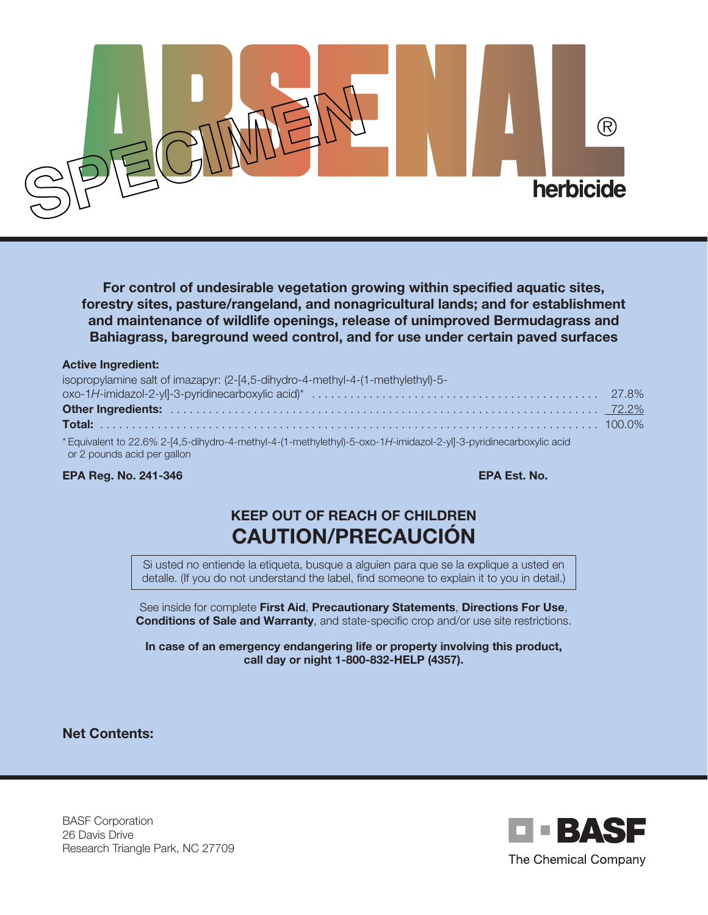

**For control of undesirable vegetation growing within specified aquatic sites, forestry sites, pasture/rangeland, and nonagricultural lands; and for establishment and maintenance of wildlife openings, release of unimproved Bermudagrass and Bahiagrass, bareground weed control, and for use under certain paved surfaces**

#### **Active Ingredient:**

| isopropylamine salt of imazapyr: (2-[4,5-dihydro-4-methyl-4-(1-methylethyl)-5-                                                                   |  |
|--------------------------------------------------------------------------------------------------------------------------------------------------|--|
|                                                                                                                                                  |  |
|                                                                                                                                                  |  |
|                                                                                                                                                  |  |
| * Equivalent to 22.6% 2-[4,5-dihydro-4-methyl-4-(1-methylethyl)-5-oxo-1H-imidazol-2-yl]-3-pyridinecarboxylic acid<br>or 2 pounds acid per gallon |  |

#### **EPA Reg. No. 241-346 EPA Est. No.**

# **KEEP OUT OF REACH OF CHILDREN CAUTION/PRECAUCIÓN**

Si usted no entiende la etiqueta, busque a alguien para que se la explique a usted en detalle. (If you do not understand the label, find someone to explain it to you in detail.)

See inside for complete **First Aid**, **Precautionary Statements**, **Directions For Use**, **Conditions of Sale and Warranty**, and state-specific crop and/or use site restrictions.

**In case of an emergency endangering life or property involving this product, call day or night 1-800-832-HELP (4357).**

**Net Contents:**

BASF Corporation 26 Davis Drive Research Triangle Park, NC 27709

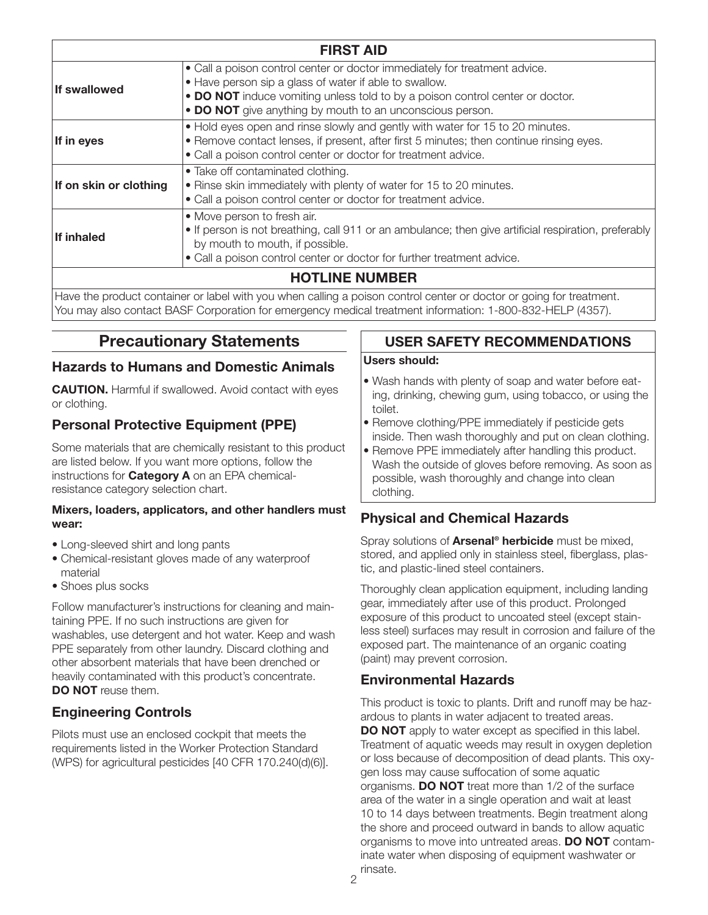| <b>FIRST AID</b>       |                                                                                                                                                                                                                                                                                    |  |
|------------------------|------------------------------------------------------------------------------------------------------------------------------------------------------------------------------------------------------------------------------------------------------------------------------------|--|
| If swallowed           | • Call a poison control center or doctor immediately for treatment advice.<br>• Have person sip a glass of water if able to swallow.<br>• DO NOT induce vomiting unless told to by a poison control center or doctor.<br>• DO NOT give anything by mouth to an unconscious person. |  |
| If in eyes             | • Hold eyes open and rinse slowly and gently with water for 15 to 20 minutes.<br>• Remove contact lenses, if present, after first 5 minutes; then continue rinsing eyes.<br>• Call a poison control center or doctor for treatment advice.                                         |  |
| If on skin or clothing | • Take off contaminated clothing.<br>• Rinse skin immediately with plenty of water for 15 to 20 minutes.<br>• Call a poison control center or doctor for treatment advice.                                                                                                         |  |
| If inhaled             | • Move person to fresh air.<br>• If person is not breathing, call 911 or an ambulance; then give artificial respiration, preferably<br>by mouth to mouth, if possible.<br>• Call a poison control center or doctor for further treatment advice.                                   |  |
| <b>HOTLINE NUMBER</b>  |                                                                                                                                                                                                                                                                                    |  |

Have the product container or label with you when calling a poison control center or doctor or going for treatment. You may also contact BASF Corporation for emergency medical treatment information: 1-800-832-HELP (4357).

# **Precautionary Statements**

### **Hazards to Humans and Domestic Animals**

**CAUTION.** Harmful if swallowed. Avoid contact with eyes or clothing.

# **Personal Protective Equipment (PPE)**

Some materials that are chemically resistant to this product are listed below. If you want more options, follow the instructions for **Category A** on an EPA chemicalresistance category selection chart.

#### **Mixers, loaders, applicators, and other handlers must wear:**

- Long-sleeved shirt and long pants
- Chemical-resistant gloves made of any waterproof material
- Shoes plus socks

Follow manufacturer's instructions for cleaning and maintaining PPE. If no such instructions are given for washables, use detergent and hot water. Keep and wash PPE separately from other laundry. Discard clothing and other absorbent materials that have been drenched or heavily contaminated with this product's concentrate. **DO NOT** reuse them.

# **Engineering Controls**

Pilots must use an enclosed cockpit that meets the requirements listed in the Worker Protection Standard (WPS) for agricultural pesticides [40 CFR 170.240(d)(6)].

### **USER SAFETY RECOMMENDATIONS**

#### **Users should:**

- Wash hands with plenty of soap and water before eating, drinking, chewing gum, using tobacco, or using the toilet.
- Remove clothing/PPE immediately if pesticide gets inside. Then wash thoroughly and put on clean clothing.
- Remove PPE immediately after handling this product. Wash the outside of gloves before removing. As soon as possible, wash thoroughly and change into clean clothing.

# **Physical and Chemical Hazards**

Spray solutions of **Arsenal® herbicide** must be mixed, stored, and applied only in stainless steel, fiberglass, plastic, and plastic-lined steel containers.

Thoroughly clean application equipment, including landing gear, immediately after use of this product. Prolonged exposure of this product to uncoated steel (except stainless steel) surfaces may result in corrosion and failure of the exposed part. The maintenance of an organic coating (paint) may prevent corrosion.

### **Environmental Hazards**

This product is toxic to plants. Drift and runoff may be hazardous to plants in water adjacent to treated areas. **DO NOT** apply to water except as specified in this label. Treatment of aquatic weeds may result in oxygen depletion or loss because of decomposition of dead plants. This oxygen loss may cause suffocation of some aquatic organisms. **DO NOT** treat more than 1/2 of the surface area of the water in a single operation and wait at least 10 to 14 days between treatments. Begin treatment along the shore and proceed outward in bands to allow aquatic organisms to move into untreated areas. **DO NOT** contaminate water when disposing of equipment washwater or rinsate.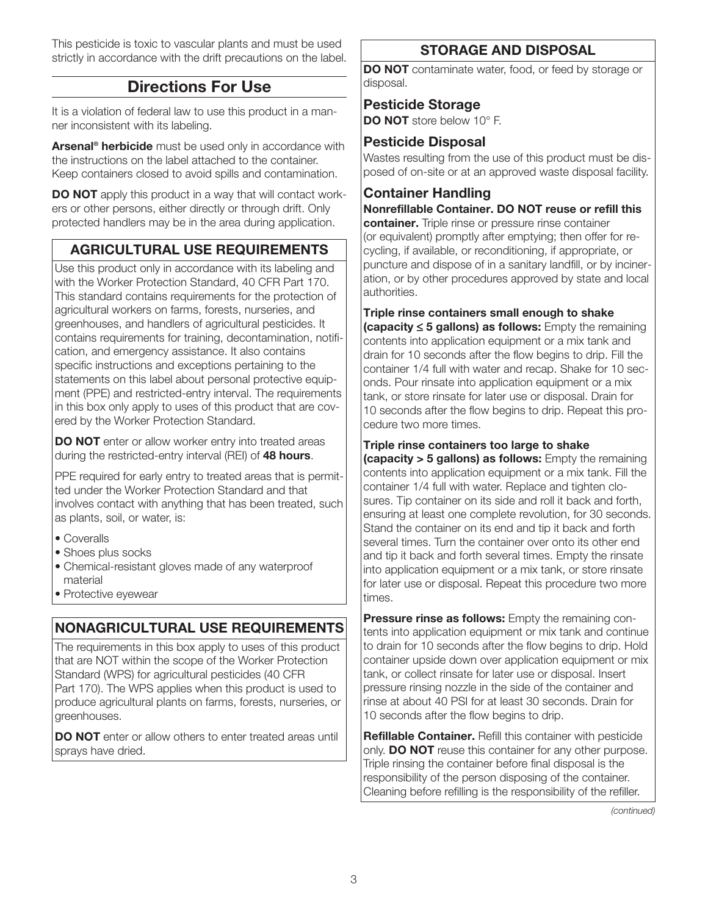This pesticide is toxic to vascular plants and must be used strictly in accordance with the drift precautions on the label.

# **Directions For Use**

It is a violation of federal law to use this product in a manner inconsistent with its labeling.

**Arsenal® herbicide** must be used only in accordance with the instructions on the label attached to the container. Keep containers closed to avoid spills and contamination.

**DO NOT** apply this product in a way that will contact workers or other persons, either directly or through drift. Only protected handlers may be in the area during application.

# **AGRICULTURAL USE REQUIREMENTS**

Use this product only in accordance with its labeling and with the Worker Protection Standard, 40 CFR Part 170. This standard contains requirements for the protection of agricultural workers on farms, forests, nurseries, and greenhouses, and handlers of agricultural pesticides. It contains requirements for training, decontamination, notification, and emergency assistance. It also contains specific instructions and exceptions pertaining to the statements on this label about personal protective equipment (PPE) and restricted-entry interval. The requirements in this box only apply to uses of this product that are covered by the Worker Protection Standard.

**DO NOT** enter or allow worker entry into treated areas during the restricted-entry interval (REI) of **48 hours**.

PPE required for early entry to treated areas that is permitted under the Worker Protection Standard and that involves contact with anything that has been treated, such as plants, soil, or water, is:

- Coveralls
- Shoes plus socks
- Chemical-resistant gloves made of any waterproof material
- Protective eyewear

# **NONAGRICULTURAL USE REQUIREMENTS**

The requirements in this box apply to uses of this product that are NOT within the scope of the Worker Protection Standard (WPS) for agricultural pesticides (40 CFR Part 170). The WPS applies when this product is used to produce agricultural plants on farms, forests, nurseries, or greenhouses.

**DO NOT** enter or allow others to enter treated areas until sprays have dried.

# **STORAGE AND DISPOSAL**

**DO NOT** contaminate water, food, or feed by storage or disposal.

# **Pesticide Storage**

**DO NOT** store below 10° F.

### **Pesticide Disposal**

Wastes resulting from the use of this product must be disposed of on-site or at an approved waste disposal facility.

# **Container Handling**

**Nonrefillable Container. DO NOT reuse or refill this container.** Triple rinse or pressure rinse container (or equivalent) promptly after emptying; then offer for recycling, if available, or reconditioning, if appropriate, or puncture and dispose of in a sanitary landfill, or by incineration, or by other procedures approved by state and local authorities.

**Triple rinse containers small enough to shake (capacity** ≤ **5 gallons) as follows:** Empty the remaining contents into application equipment or a mix tank and drain for 10 seconds after the flow begins to drip. Fill the container 1/4 full with water and recap. Shake for 10 seconds. Pour rinsate into application equipment or a mix tank, or store rinsate for later use or disposal. Drain for 10 seconds after the flow begins to drip. Repeat this procedure two more times.

### **Triple rinse containers too large to shake**

**(capacity > 5 gallons) as follows:** Empty the remaining contents into application equipment or a mix tank. Fill the container 1/4 full with water. Replace and tighten closures. Tip container on its side and roll it back and forth, ensuring at least one complete revolution, for 30 seconds. Stand the container on its end and tip it back and forth several times. Turn the container over onto its other end and tip it back and forth several times. Empty the rinsate into application equipment or a mix tank, or store rinsate for later use or disposal. Repeat this procedure two more times.

**Pressure rinse as follows:** Empty the remaining contents into application equipment or mix tank and continue to drain for 10 seconds after the flow begins to drip. Hold container upside down over application equipment or mix tank, or collect rinsate for later use or disposal. Insert pressure rinsing nozzle in the side of the container and rinse at about 40 PSI for at least 30 seconds. Drain for 10 seconds after the flow begins to drip.

**Refillable Container.** Refill this container with pesticide only. **DO NOT** reuse this container for any other purpose. Triple rinsing the container before final disposal is the responsibility of the person disposing of the container. Cleaning before refilling is the responsibility of the refiller.

*(continued)*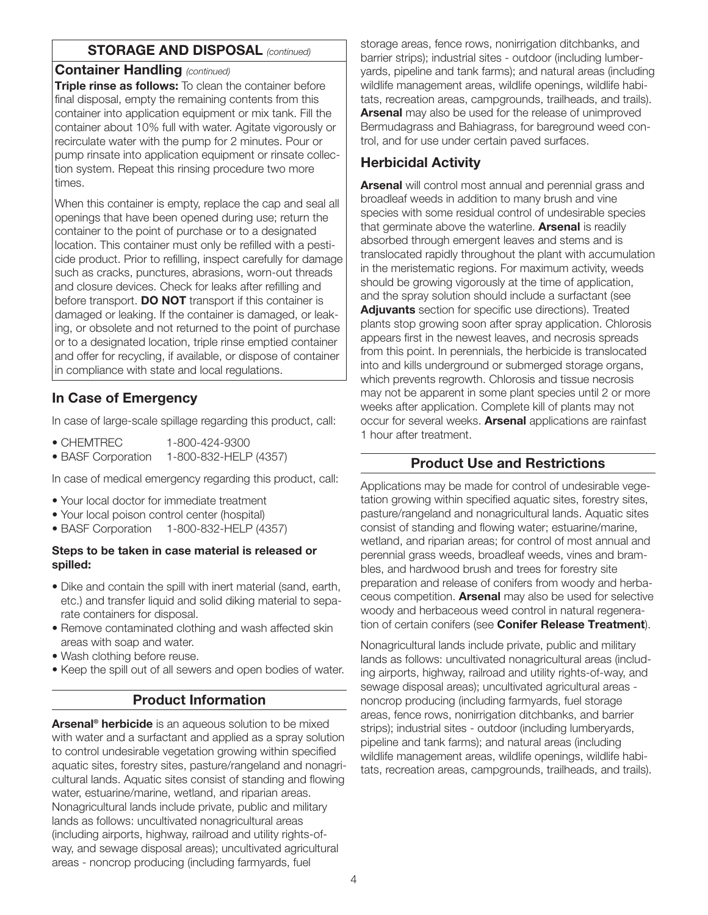### **STORAGE AND DISPOSAL** *(continued)*

### **Container Handling** *(continued)*

**Triple rinse as follows:** To clean the container before final disposal, empty the remaining contents from this container into application equipment or mix tank. Fill the container about 10% full with water. Agitate vigorously or recirculate water with the pump for 2 minutes. Pour or pump rinsate into application equipment or rinsate collection system. Repeat this rinsing procedure two more times.

When this container is empty, replace the cap and seal all openings that have been opened during use; return the container to the point of purchase or to a designated location. This container must only be refilled with a pesticide product. Prior to refilling, inspect carefully for damage such as cracks, punctures, abrasions, worn-out threads and closure devices. Check for leaks after refilling and before transport. **DO NOT** transport if this container is damaged or leaking. If the container is damaged, or leaking, or obsolete and not returned to the point of purchase or to a designated location, triple rinse emptied container and offer for recycling, if available, or dispose of container in compliance with state and local regulations.

# **In Case of Emergency**

In case of large-scale spillage regarding this product, call:

• BASF Corporation 1-800-832-HELP (4357)

In case of medical emergency regarding this product, call:

- Your local doctor for immediate treatment
- Your local poison control center (hospital)
- BASF Corporation 1-800-832-HELP (4357)

#### **Steps to be taken in case material is released or spilled:**

- Dike and contain the spill with inert material (sand, earth, etc.) and transfer liquid and solid diking material to separate containers for disposal.
- Remove contaminated clothing and wash affected skin areas with soap and water.
- Wash clothing before reuse.
- Keep the spill out of all sewers and open bodies of water.

### **Product Information**

**Arsenal® herbicide** is an aqueous solution to be mixed with water and a surfactant and applied as a spray solution to control undesirable vegetation growing within specified aquatic sites, forestry sites, pasture/rangeland and nonagricultural lands. Aquatic sites consist of standing and flowing water, estuarine/marine, wetland, and riparian areas. Nonagricultural lands include private, public and military lands as follows: uncultivated nonagricultural areas (including airports, highway, railroad and utility rights-ofway, and sewage disposal areas); uncultivated agricultural areas - noncrop producing (including farmyards, fuel

storage areas, fence rows, nonirrigation ditchbanks, and barrier strips); industrial sites - outdoor (including lumberyards, pipeline and tank farms); and natural areas (including wildlife management areas, wildlife openings, wildlife habitats, recreation areas, campgrounds, trailheads, and trails). **Arsenal** may also be used for the release of unimproved Bermudagrass and Bahiagrass, for bareground weed control, and for use under certain paved surfaces.

# **Herbicidal Activity**

**Arsenal** will control most annual and perennial grass and broadleaf weeds in addition to many brush and vine species with some residual control of undesirable species that germinate above the waterline. **Arsenal** is readily absorbed through emergent leaves and stems and is translocated rapidly throughout the plant with accumulation in the meristematic regions. For maximum activity, weeds should be growing vigorously at the time of application, and the spray solution should include a surfactant (see **Adjuvants** section for specific use directions). Treated plants stop growing soon after spray application. Chlorosis appears first in the newest leaves, and necrosis spreads from this point. In perennials, the herbicide is translocated into and kills underground or submerged storage organs, which prevents regrowth. Chlorosis and tissue necrosis may not be apparent in some plant species until 2 or more weeks after application. Complete kill of plants may not occur for several weeks. **Arsenal** applications are rainfast 1 hour after treatment.

### **Product Use and Restrictions**

Applications may be made for control of undesirable vegetation growing within specified aquatic sites, forestry sites, pasture/rangeland and nonagricultural lands. Aquatic sites consist of standing and flowing water; estuarine/marine, wetland, and riparian areas; for control of most annual and perennial grass weeds, broadleaf weeds, vines and brambles, and hardwood brush and trees for forestry site preparation and release of conifers from woody and herbaceous competition. **Arsenal** may also be used for selective woody and herbaceous weed control in natural regeneration of certain conifers (see **Conifer Release Treatment**).

Nonagricultural lands include private, public and military lands as follows: uncultivated nonagricultural areas (including airports, highway, railroad and utility rights-of-way, and sewage disposal areas); uncultivated agricultural areas noncrop producing (including farmyards, fuel storage areas, fence rows, nonirrigation ditchbanks, and barrier strips); industrial sites - outdoor (including lumberyards, pipeline and tank farms); and natural areas (including wildlife management areas, wildlife openings, wildlife habitats, recreation areas, campgrounds, trailheads, and trails).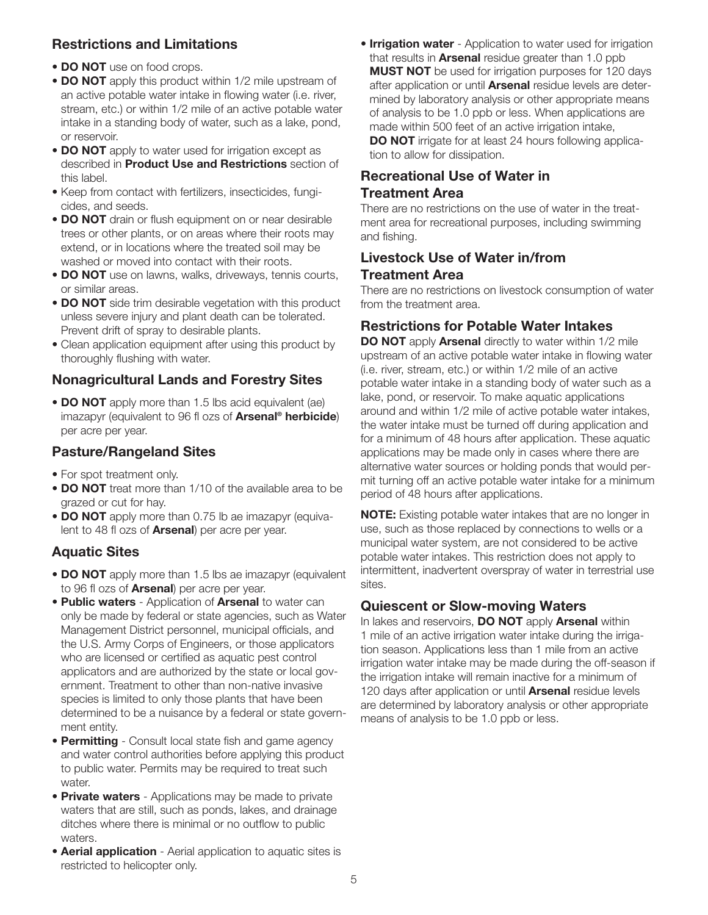# **Restrictions and Limitations**

- **DO NOT** use on food crops.
- **DO NOT** apply this product within 1/2 mile upstream of an active potable water intake in flowing water (i.e. river, stream, etc.) or within 1/2 mile of an active potable water intake in a standing body of water, such as a lake, pond, or reservoir.
- **DO NOT** apply to water used for irrigation except as described in **Product Use and Restrictions** section of this label.
- Keep from contact with fertilizers, insecticides, fungicides, and seeds.
- **DO NOT** drain or flush equipment on or near desirable trees or other plants, or on areas where their roots may extend, or in locations where the treated soil may be washed or moved into contact with their roots.
- **DO NOT** use on lawns, walks, driveways, tennis courts, or similar areas.
- **DO NOT** side trim desirable vegetation with this product unless severe injury and plant death can be tolerated. Prevent drift of spray to desirable plants.
- Clean application equipment after using this product by thoroughly flushing with water.

# **Nonagricultural Lands and Forestry Sites**

• **DO NOT** apply more than 1.5 lbs acid equivalent (ae) imazapyr (equivalent to 96 fl ozs of **Arsenal® herbicide**) per acre per year.

# **Pasture/Rangeland Sites**

- For spot treatment only.
- **DO NOT** treat more than 1/10 of the available area to be grazed or cut for hay.
- **DO NOT** apply more than 0.75 lb ae imazapyr (equivalent to 48 fl ozs of **Arsenal**) per acre per year.

# **Aquatic Sites**

- **DO NOT** apply more than 1.5 lbs ae imazapyr (equivalent to 96 fl ozs of **Arsenal**) per acre per year.
- **Public waters** Application of **Arsenal** to water can only be made by federal or state agencies, such as Water Management District personnel, municipal officials, and the U.S. Army Corps of Engineers, or those applicators who are licensed or certified as aquatic pest control applicators and are authorized by the state or local government. Treatment to other than non-native invasive species is limited to only those plants that have been determined to be a nuisance by a federal or state government entity.
- **Permitting** Consult local state fish and game agency and water control authorities before applying this product to public water. Permits may be required to treat such water.
- **Private waters** Applications may be made to private waters that are still, such as ponds, lakes, and drainage ditches where there is minimal or no outflow to public waters.
- **Aerial application** Aerial application to aquatic sites is restricted to helicopter only.

**• Irrigation water** - Application to water used for irrigation that results in **Arsenal** residue greater than 1.0 ppb **MUST NOT** be used for irrigation purposes for 120 days after application or until **Arsenal** residue levels are determined by laboratory analysis or other appropriate means of analysis to be 1.0 ppb or less. When applications are made within 500 feet of an active irrigation intake, **DO NOT** irrigate for at least 24 hours following application to allow for dissipation.

# **Recreational Use of Water in Treatment Area**

There are no restrictions on the use of water in the treatment area for recreational purposes, including swimming and fishing.

# **Livestock Use of Water in/from Treatment Area**

There are no restrictions on livestock consumption of water from the treatment area.

# **Restrictions for Potable Water Intakes**

**DO NOT** apply **Arsenal** directly to water within 1/2 mile upstream of an active potable water intake in flowing water (i.e. river, stream, etc.) or within 1/2 mile of an active potable water intake in a standing body of water such as a lake, pond, or reservoir. To make aquatic applications around and within 1/2 mile of active potable water intakes, the water intake must be turned off during application and for a minimum of 48 hours after application. These aquatic applications may be made only in cases where there are alternative water sources or holding ponds that would permit turning off an active potable water intake for a minimum period of 48 hours after applications.

**NOTE:** Existing potable water intakes that are no longer in use, such as those replaced by connections to wells or a municipal water system, are not considered to be active potable water intakes. This restriction does not apply to intermittent, inadvertent overspray of water in terrestrial use sites.

# **Quiescent or Slow-moving Waters**

In lakes and reservoirs, **DO NOT** apply **Arsenal** within 1 mile of an active irrigation water intake during the irrigation season. Applications less than 1 mile from an active irrigation water intake may be made during the off-season if the irrigation intake will remain inactive for a minimum of 120 days after application or until **Arsenal** residue levels are determined by laboratory analysis or other appropriate means of analysis to be 1.0 ppb or less.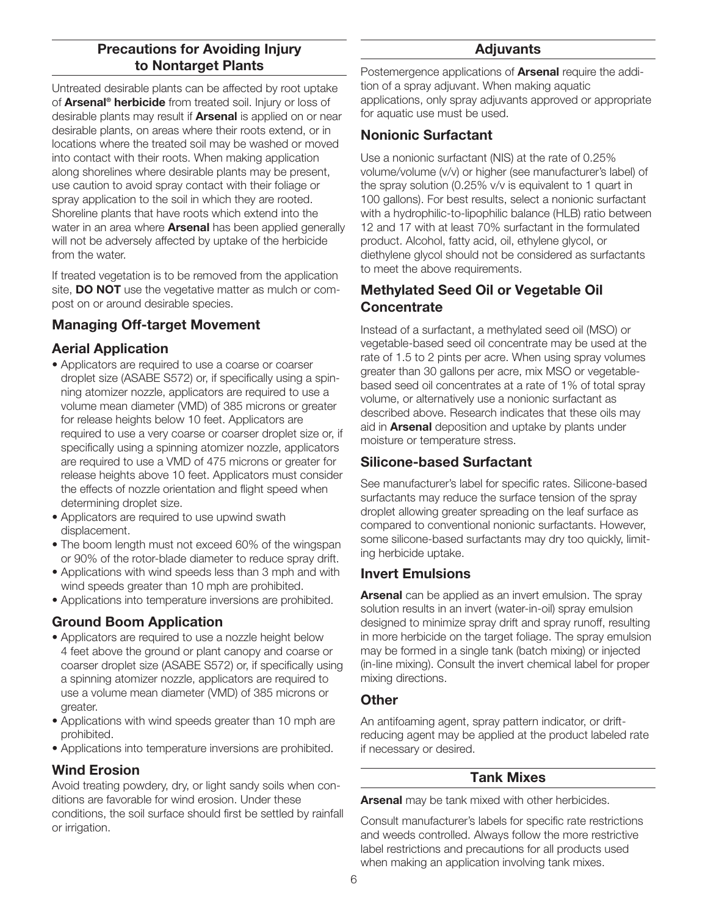### **Precautions for Avoiding Injury to Nontarget Plants**

Untreated desirable plants can be affected by root uptake of **Arsenal® herbicide** from treated soil. Injury or loss of desirable plants may result if **Arsenal** is applied on or near desirable plants, on areas where their roots extend, or in locations where the treated soil may be washed or moved into contact with their roots. When making application along shorelines where desirable plants may be present, use caution to avoid spray contact with their foliage or spray application to the soil in which they are rooted. Shoreline plants that have roots which extend into the water in an area where **Arsenal** has been applied generally will not be adversely affected by uptake of the herbicide from the water.

If treated vegetation is to be removed from the application site, **DO NOT** use the vegetative matter as mulch or compost on or around desirable species.

# **Managing Off-target Movement**

# **Aerial Application**

- Applicators are required to use a coarse or coarser droplet size (ASABE S572) or, if specifically using a spinning atomizer nozzle, applicators are required to use a volume mean diameter (VMD) of 385 microns or greater for release heights below 10 feet. Applicators are required to use a very coarse or coarser droplet size or, if specifically using a spinning atomizer nozzle, applicators are required to use a VMD of 475 microns or greater for release heights above 10 feet. Applicators must consider the effects of nozzle orientation and flight speed when determining droplet size.
- Applicators are required to use upwind swath displacement.
- The boom length must not exceed 60% of the wingspan or 90% of the rotor-blade diameter to reduce spray drift.
- Applications with wind speeds less than 3 mph and with wind speeds greater than 10 mph are prohibited.
- Applications into temperature inversions are prohibited.

# **Ground Boom Application**

- Applicators are required to use a nozzle height below 4 feet above the ground or plant canopy and coarse or coarser droplet size (ASABE S572) or, if specifically using a spinning atomizer nozzle, applicators are required to use a volume mean diameter (VMD) of 385 microns or greater.
- Applications with wind speeds greater than 10 mph are prohibited.
- Applications into temperature inversions are prohibited.

# **Wind Erosion**

Avoid treating powdery, dry, or light sandy soils when conditions are favorable for wind erosion. Under these conditions, the soil surface should first be settled by rainfall or irrigation.

### **Adjuvants**

Postemergence applications of **Arsenal** require the addition of a spray adjuvant. When making aquatic applications, only spray adjuvants approved or appropriate for aquatic use must be used.

# **Nonionic Surfactant**

Use a nonionic surfactant (NIS) at the rate of 0.25% volume/volume (v/v) or higher (see manufacturer's label) of the spray solution (0.25% v/v is equivalent to 1 quart in 100 gallons). For best results, select a nonionic surfactant with a hydrophilic-to-lipophilic balance (HLB) ratio between 12 and 17 with at least 70% surfactant in the formulated product. Alcohol, fatty acid, oil, ethylene glycol, or diethylene glycol should not be considered as surfactants to meet the above requirements.

# **Methylated Seed Oil or Vegetable Oil Concentrate**

Instead of a surfactant, a methylated seed oil (MSO) or vegetable-based seed oil concentrate may be used at the rate of 1.5 to 2 pints per acre. When using spray volumes greater than 30 gallons per acre, mix MSO or vegetablebased seed oil concentrates at a rate of 1% of total spray volume, or alternatively use a nonionic surfactant as described above. Research indicates that these oils may aid in **Arsenal** deposition and uptake by plants under moisture or temperature stress.

# **Silicone-based Surfactant**

See manufacturer's label for specific rates. Silicone-based surfactants may reduce the surface tension of the spray droplet allowing greater spreading on the leaf surface as compared to conventional nonionic surfactants. However, some silicone-based surfactants may dry too quickly, limiting herbicide uptake.

# **Invert Emulsions**

**Arsenal** can be applied as an invert emulsion. The spray solution results in an invert (water-in-oil) spray emulsion designed to minimize spray drift and spray runoff, resulting in more herbicide on the target foliage. The spray emulsion may be formed in a single tank (batch mixing) or injected (in-line mixing). Consult the invert chemical label for proper mixing directions.

# **Other**

An antifoaming agent, spray pattern indicator, or driftreducing agent may be applied at the product labeled rate if necessary or desired.

### **Tank Mixes**

**Arsenal** may be tank mixed with other herbicides.

Consult manufacturer's labels for specific rate restrictions and weeds controlled. Always follow the more restrictive label restrictions and precautions for all products used when making an application involving tank mixes.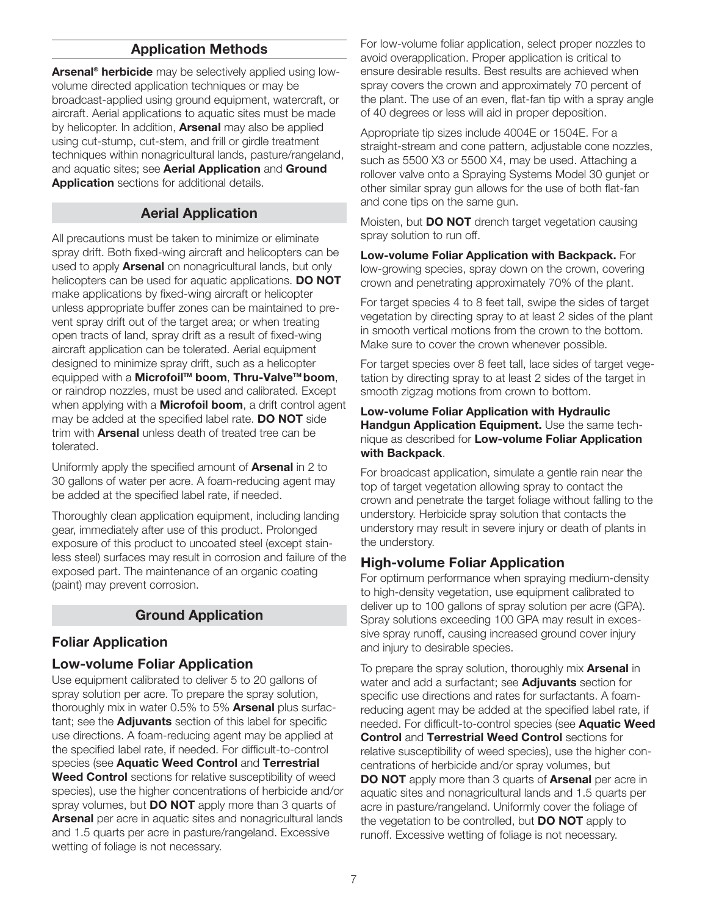### **Application Methods**

**Arsenal® herbicide** may be selectively applied using lowvolume directed application techniques or may be broadcast-applied using ground equipment, watercraft, or aircraft. Aerial applications to aquatic sites must be made by helicopter. In addition, **Arsenal** may also be applied using cut-stump, cut-stem, and frill or girdle treatment techniques within nonagricultural lands, pasture/rangeland, and aquatic sites; see **Aerial Application** and **Ground Application** sections for additional details.

#### **Aerial Application**

All precautions must be taken to minimize or eliminate spray drift. Both fixed-wing aircraft and helicopters can be used to apply **Arsenal** on nonagricultural lands, but only helicopters can be used for aquatic applications. **DO NOT** make applications by fixed-wing aircraft or helicopter unless appropriate buffer zones can be maintained to prevent spray drift out of the target area; or when treating open tracts of land, spray drift as a result of fixed-wing aircraft application can be tolerated. Aerial equipment designed to minimize spray drift, such as a helicopter equipped with a **MicrofoilTM boom**, **Thru-ValveTM boom**, or raindrop nozzles, must be used and calibrated. Except when applying with a **Microfoil boom**, a drift control agent may be added at the specified label rate. **DO NOT** side trim with **Arsenal** unless death of treated tree can be tolerated.

Uniformly apply the specified amount of **Arsenal** in 2 to 30 gallons of water per acre. A foam-reducing agent may be added at the specified label rate, if needed.

Thoroughly clean application equipment, including landing gear, immediately after use of this product. Prolonged exposure of this product to uncoated steel (except stainless steel) surfaces may result in corrosion and failure of the exposed part. The maintenance of an organic coating (paint) may prevent corrosion.

#### **Ground Application**

### **Foliar Application**

#### **Low-volume Foliar Application**

Use equipment calibrated to deliver 5 to 20 gallons of spray solution per acre. To prepare the spray solution, thoroughly mix in water 0.5% to 5% **Arsenal** plus surfactant; see the **Adjuvants** section of this label for specific use directions. A foam-reducing agent may be applied at the specified label rate, if needed. For difficult-to-control species (see **Aquatic Weed Control** and **Terrestrial Weed Control** sections for relative susceptibility of weed species), use the higher concentrations of herbicide and/or spray volumes, but **DO NOT** apply more than 3 quarts of **Arsenal** per acre in aquatic sites and nonagricultural lands and 1.5 quarts per acre in pasture/rangeland. Excessive wetting of foliage is not necessary.

For low-volume foliar application, select proper nozzles to avoid overapplication. Proper application is critical to ensure desirable results. Best results are achieved when spray covers the crown and approximately 70 percent of the plant. The use of an even, flat-fan tip with a spray angle of 40 degrees or less will aid in proper deposition.

Appropriate tip sizes include 4004E or 1504E. For a straight-stream and cone pattern, adjustable cone nozzles, such as 5500 X3 or 5500 X4, may be used. Attaching a rollover valve onto a Spraying Systems Model 30 gunjet or other similar spray gun allows for the use of both flat-fan and cone tips on the same gun.

Moisten, but **DO NOT** drench target vegetation causing spray solution to run off.

**Low-volume Foliar Application with Backpack.** For low-growing species, spray down on the crown, covering crown and penetrating approximately 70% of the plant.

For target species 4 to 8 feet tall, swipe the sides of target vegetation by directing spray to at least 2 sides of the plant in smooth vertical motions from the crown to the bottom. Make sure to cover the crown whenever possible.

For target species over 8 feet tall, lace sides of target vegetation by directing spray to at least 2 sides of the target in smooth zigzag motions from crown to bottom.

**Low-volume Foliar Application with Hydraulic Handgun Application Equipment.** Use the same technique as described for **Low-volume Foliar Application with Backpack**.

For broadcast application, simulate a gentle rain near the top of target vegetation allowing spray to contact the crown and penetrate the target foliage without falling to the understory. Herbicide spray solution that contacts the understory may result in severe injury or death of plants in the understory.

### **High-volume Foliar Application**

For optimum performance when spraying medium-density to high-density vegetation, use equipment calibrated to deliver up to 100 gallons of spray solution per acre (GPA). Spray solutions exceeding 100 GPA may result in excessive spray runoff, causing increased ground cover injury and injury to desirable species.

To prepare the spray solution, thoroughly mix **Arsenal** in water and add a surfactant; see **Adjuvants** section for specific use directions and rates for surfactants. A foamreducing agent may be added at the specified label rate, if needed. For difficult-to-control species (see **Aquatic Weed Control** and **Terrestrial Weed Control** sections for relative susceptibility of weed species), use the higher concentrations of herbicide and/or spray volumes, but **DO NOT** apply more than 3 quarts of **Arsenal** per acre in aquatic sites and nonagricultural lands and 1.5 quarts per acre in pasture/rangeland. Uniformly cover the foliage of the vegetation to be controlled, but **DO NOT** apply to runoff. Excessive wetting of foliage is not necessary.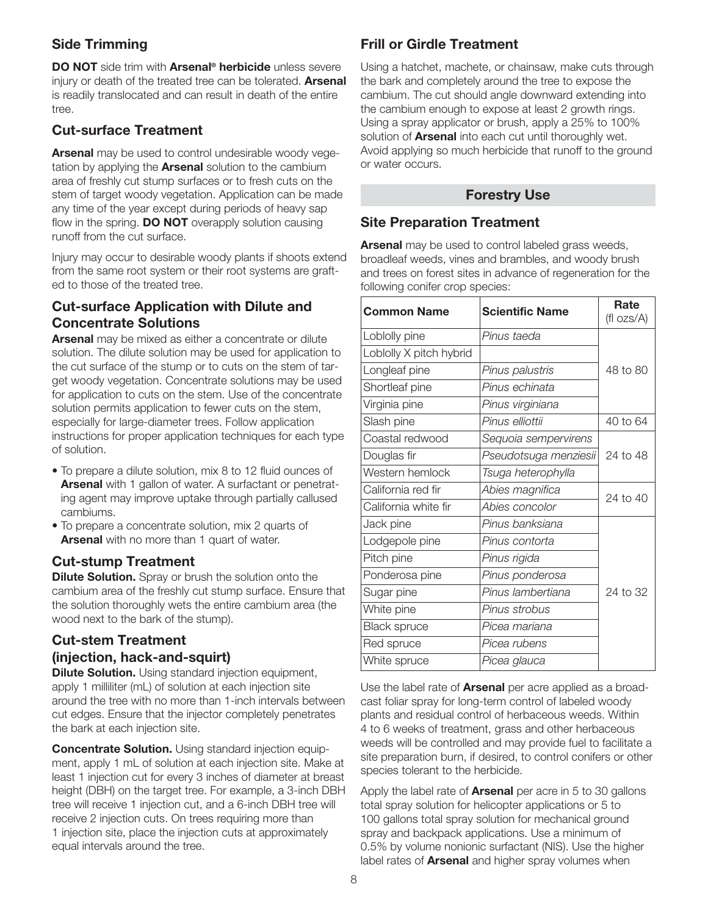# **Side Trimming**

**DO NOT** side trim with **Arsenal® herbicide** unless severe injury or death of the treated tree can be tolerated. **Arsenal** is readily translocated and can result in death of the entire tree.

# **Cut-surface Treatment**

**Arsenal** may be used to control undesirable woody vegetation by applying the **Arsenal** solution to the cambium area of freshly cut stump surfaces or to fresh cuts on the stem of target woody vegetation. Application can be made any time of the year except during periods of heavy sap flow in the spring. **DO NOT** overapply solution causing runoff from the cut surface.

Injury may occur to desirable woody plants if shoots extend from the same root system or their root systems are grafted to those of the treated tree.

### **Cut-surface Application with Dilute and Concentrate Solutions**

**Arsenal** may be mixed as either a concentrate or dilute solution. The dilute solution may be used for application to the cut surface of the stump or to cuts on the stem of target woody vegetation. Concentrate solutions may be used for application to cuts on the stem. Use of the concentrate solution permits application to fewer cuts on the stem, especially for large-diameter trees. Follow application instructions for proper application techniques for each type of solution.

- To prepare a dilute solution, mix 8 to 12 fluid ounces of **Arsenal** with 1 gallon of water. A surfactant or penetrating agent may improve uptake through partially callused cambiums.
- To prepare a concentrate solution, mix 2 quarts of **Arsenal** with no more than 1 quart of water.

### **Cut-stump Treatment**

**Dilute Solution.** Spray or brush the solution onto the cambium area of the freshly cut stump surface. Ensure that the solution thoroughly wets the entire cambium area (the wood next to the bark of the stump).

# **Cut-stem Treatment (injection, hack-and-squirt)**

**Dilute Solution.** Using standard injection equipment, apply 1 milliliter (mL) of solution at each injection site around the tree with no more than 1-inch intervals between cut edges. Ensure that the injector completely penetrates the bark at each injection site.

**Concentrate Solution.** Using standard injection equipment, apply 1 mL of solution at each injection site. Make at least 1 injection cut for every 3 inches of diameter at breast height (DBH) on the target tree. For example, a 3-inch DBH tree will receive 1 injection cut, and a 6-inch DBH tree will receive 2 injection cuts. On trees requiring more than 1 injection site, place the injection cuts at approximately equal intervals around the tree.

# **Frill or Girdle Treatment**

Using a hatchet, machete, or chainsaw, make cuts through the bark and completely around the tree to expose the cambium. The cut should angle downward extending into the cambium enough to expose at least 2 growth rings. Using a spray applicator or brush, apply a 25% to 100% solution of **Arsenal** into each cut until thoroughly wet. Avoid applying so much herbicide that runoff to the ground or water occurs.

### **Forestry Use**

### **Site Preparation Treatment**

**Arsenal** may be used to control labeled grass weeds, broadleaf weeds, vines and brambles, and woody brush and trees on forest sites in advance of regeneration for the following conifer crop species:

| <b>Common Name</b><br><b>Scientific Name</b> |                       | Rate<br>(fl ozs/A) |
|----------------------------------------------|-----------------------|--------------------|
| Loblolly pine                                | Pinus taeda           |                    |
| Loblolly X pitch hybrid                      |                       |                    |
| Longleaf pine                                | Pinus palustris       | 48 to 80           |
| Shortleaf pine                               | Pinus echinata        |                    |
| Virginia pine                                | Pinus virginiana      |                    |
| Slash pine                                   | Pinus elliottii       | 40 to 64           |
| Coastal redwood                              | Sequoia sempervirens  |                    |
| Douglas fir                                  | Pseudotsuga menziesii | 24 to 48           |
| Western hemlock                              | Tsuga heterophylla    |                    |
| California red fir                           | Abies magnifica       | 24 to 40           |
| California white fir                         | Abies concolor        |                    |
| Jack pine                                    | Pinus banksiana       |                    |
| Lodgepole pine                               | Pinus contorta        |                    |
| Pitch pine                                   | Pinus rigida          |                    |
| Ponderosa pine                               | Pinus ponderosa       |                    |
| Sugar pine                                   | Pinus lambertiana     | 24 to 32           |
| White pine                                   | Pinus strobus         |                    |
| <b>Black spruce</b>                          | Picea mariana         |                    |
| Red spruce                                   | Picea rubens          |                    |
| White spruce                                 | Picea glauca          |                    |

Use the label rate of **Arsenal** per acre applied as a broadcast foliar spray for long-term control of labeled woody plants and residual control of herbaceous weeds. Within 4 to 6 weeks of treatment, grass and other herbaceous weeds will be controlled and may provide fuel to facilitate a site preparation burn, if desired, to control conifers or other species tolerant to the herbicide.

Apply the label rate of **Arsenal** per acre in 5 to 30 gallons total spray solution for helicopter applications or 5 to 100 gallons total spray solution for mechanical ground spray and backpack applications. Use a minimum of 0.5% by volume nonionic surfactant (NIS). Use the higher label rates of **Arsenal** and higher spray volumes when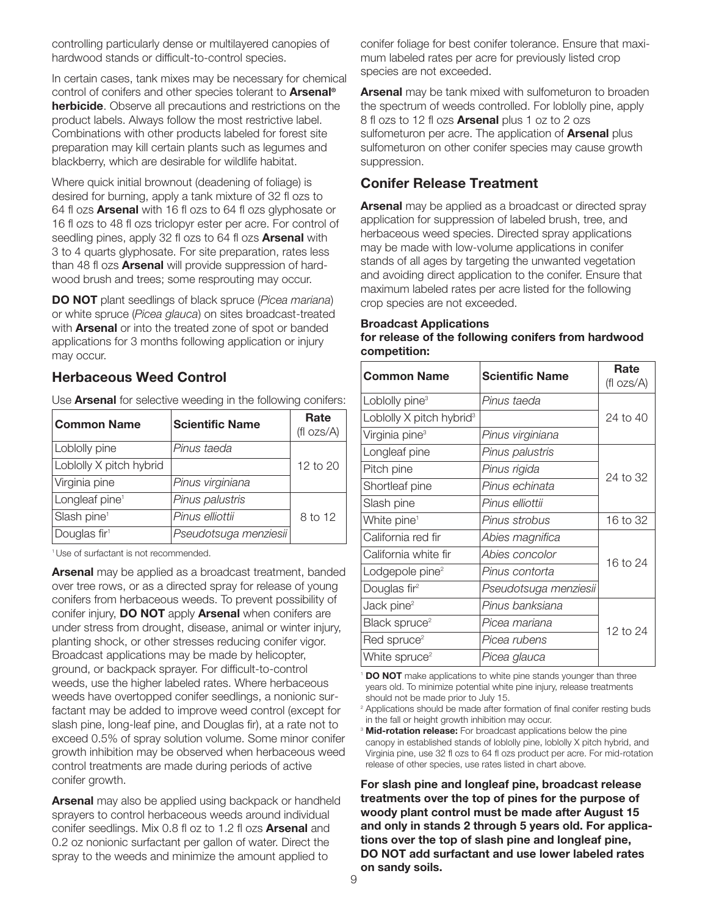controlling particularly dense or multilayered canopies of hardwood stands or difficult-to-control species.

In certain cases, tank mixes may be necessary for chemical control of conifers and other species tolerant to **Arsenal® herbicide**. Observe all precautions and restrictions on the product labels. Always follow the most restrictive label. Combinations with other products labeled for forest site preparation may kill certain plants such as legumes and blackberry, which are desirable for wildlife habitat.

Where quick initial brownout (deadening of foliage) is desired for burning, apply a tank mixture of 32 fl ozs to 64 fl ozs **Arsenal** with 16 fl ozs to 64 fl ozs glyphosate or 16 fl ozs to 48 fl ozs triclopyr ester per acre. For control of seedling pines, apply 32 fl ozs to 64 fl ozs **Arsenal** with 3 to 4 quarts glyphosate. For site preparation, rates less than 48 fl ozs **Arsenal** will provide suppression of hardwood brush and trees; some resprouting may occur.

**DO NOT** plant seedlings of black spruce (*Picea mariana*) or white spruce (*Picea glauca*) on sites broadcast-treated with **Arsenal** or into the treated zone of spot or banded applications for 3 months following application or injury may occur.

#### **Herbaceous Weed Control**

Use **Arsenal** for selective weeding in the following conifers:

| <b>Common Name</b>         | <b>Scientific Name</b> | Rate<br>$(fI \, ozs/A)$ |
|----------------------------|------------------------|-------------------------|
| Loblolly pine              | Pinus taeda            |                         |
| Loblolly X pitch hybrid    |                        | 12 to 20                |
| Virginia pine              | Pinus virginiana       |                         |
| Longleaf pine <sup>1</sup> | Pinus palustris        |                         |
| Slash pine <sup>1</sup>    | Pinus elliottii        | 8 to 12                 |
| Douglas fir <sup>1</sup>   | Pseudotsuga menziesii  |                         |

1 Use of surfactant is not recommended.

**Arsenal** may be applied as a broadcast treatment, banded over tree rows, or as a directed spray for release of young conifers from herbaceous weeds. To prevent possibility of conifer injury, **DO NOT** apply **Arsenal** when conifers are under stress from drought, disease, animal or winter injury, planting shock, or other stresses reducing conifer vigor. Broadcast applications may be made by helicopter, ground, or backpack sprayer. For difficult-to-control weeds, use the higher labeled rates. Where herbaceous weeds have overtopped conifer seedlings, a nonionic surfactant may be added to improve weed control (except for slash pine, long-leaf pine, and Douglas fir), at a rate not to exceed 0.5% of spray solution volume. Some minor conifer growth inhibition may be observed when herbaceous weed control treatments are made during periods of active conifer growth.

**Arsenal** may also be applied using backpack or handheld sprayers to control herbaceous weeds around individual conifer seedlings. Mix 0.8 fl oz to 1.2 fl ozs **Arsenal** and 0.2 oz nonionic surfactant per gallon of water. Direct the spray to the weeds and minimize the amount applied to

conifer foliage for best conifer tolerance. Ensure that maximum labeled rates per acre for previously listed crop species are not exceeded.

**Arsenal** may be tank mixed with sulfometuron to broaden the spectrum of weeds controlled. For loblolly pine, apply 8 fl ozs to 12 fl ozs **Arsenal** plus 1 oz to 2 ozs sulfometuron per acre. The application of **Arsenal** plus sulfometuron on other conifer species may cause growth suppression.

### **Conifer Release Treatment**

**Arsenal** may be applied as a broadcast or directed spray application for suppression of labeled brush, tree, and herbaceous weed species. Directed spray applications may be made with low-volume applications in conifer stands of all ages by targeting the unwanted vegetation and avoiding direct application to the conifer. Ensure that maximum labeled rates per acre listed for the following crop species are not exceeded.

| <b>Broadcast Applications</b>                       |  |
|-----------------------------------------------------|--|
| for release of the following conifers from hardwood |  |
| competition:                                        |  |

| <b>Common Name</b>                   | <b>Scientific Name</b> | Rate<br>$(fl \space ozs/A)$ |  |
|--------------------------------------|------------------------|-----------------------------|--|
| Loblolly pine <sup>3</sup>           | Pinus taeda            |                             |  |
| Loblolly X pitch hybrid <sup>3</sup> |                        | 24 to 40                    |  |
| Virginia pine <sup>3</sup>           | Pinus virginiana       |                             |  |
| Longleaf pine                        | Pinus palustris        |                             |  |
| Pitch pine                           | Pinus rigida           | 24 to 32                    |  |
| Shortleaf pine                       | Pinus echinata         |                             |  |
| Slash pine                           | Pinus elliottii        |                             |  |
| White pine <sup>1</sup>              | Pinus strobus          | 16 to 32                    |  |
| California red fir                   | Abies magnifica        |                             |  |
| California white fir                 | Abies concolor         | 16 to 24                    |  |
| Lodgepole pine <sup>2</sup>          | Pinus contorta         |                             |  |
| Douglas fir <sup>2</sup>             | Pseudotsuga menziesii  |                             |  |
| Jack pine <sup>2</sup>               | Pinus banksiana        |                             |  |
| Black spruce <sup>2</sup>            | Picea mariana          | 12 to 24                    |  |
| Red spruce <sup>2</sup>              | Picea rubens           |                             |  |
| White spruce <sup>2</sup>            | Picea glauca           |                             |  |

<sup>1</sup> **DO NOT** make applications to white pine stands younger than three years old. To minimize potential white pine injury, release treatments should not be made prior to July 15.

<sup>2</sup> Applications should be made after formation of final conifer resting buds in the fall or height growth inhibition may occur.

**For slash pine and longleaf pine, broadcast release treatments over the top of pines for the purpose of woody plant control must be made after August 15 and only in stands 2 through 5 years old. For applications over the top of slash pine and longleaf pine, DO NOT add surfactant and use lower labeled rates on sandy soils.**

Mid-rotation release: For broadcast applications below the pine canopy in established stands of loblolly pine, loblolly X pitch hybrid, and Virginia pine, use 32 fl ozs to 64 fl ozs product per acre. For mid-rotation release of other species, use rates listed in chart above.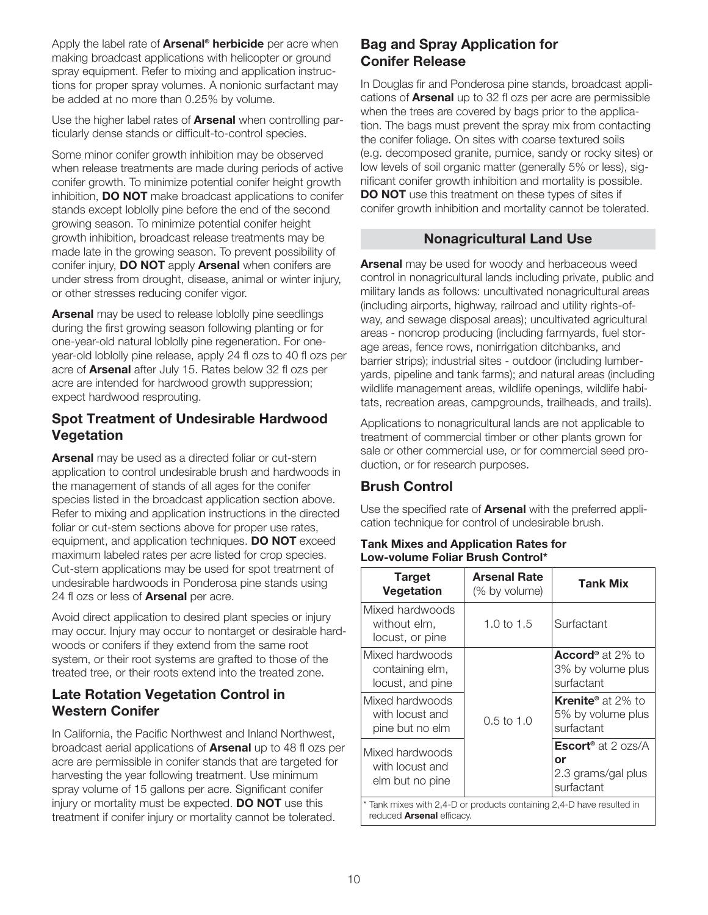Apply the label rate of **Arsenal® herbicide** per acre when making broadcast applications with helicopter or ground spray equipment. Refer to mixing and application instructions for proper spray volumes. A nonionic surfactant may be added at no more than 0.25% by volume.

Use the higher label rates of **Arsenal** when controlling particularly dense stands or difficult-to-control species.

Some minor conifer growth inhibition may be observed when release treatments are made during periods of active conifer growth. To minimize potential conifer height growth inhibition, **DO NOT** make broadcast applications to conifer stands except loblolly pine before the end of the second growing season. To minimize potential conifer height growth inhibition, broadcast release treatments may be made late in the growing season. To prevent possibility of conifer injury, **DO NOT** apply **Arsenal** when conifers are under stress from drought, disease, animal or winter injury, or other stresses reducing conifer vigor.

**Arsenal** may be used to release loblolly pine seedlings during the first growing season following planting or for one-year-old natural loblolly pine regeneration. For oneyear-old loblolly pine release, apply 24 fl ozs to 40 fl ozs per acre of **Arsenal** after July 15. Rates below 32 fl ozs per acre are intended for hardwood growth suppression; expect hardwood resprouting.

### **Spot Treatment of Undesirable Hardwood Vegetation**

**Arsenal** may be used as a directed foliar or cut-stem application to control undesirable brush and hardwoods in the management of stands of all ages for the conifer species listed in the broadcast application section above. Refer to mixing and application instructions in the directed foliar or cut-stem sections above for proper use rates, equipment, and application techniques. **DO NOT** exceed maximum labeled rates per acre listed for crop species. Cut-stem applications may be used for spot treatment of undesirable hardwoods in Ponderosa pine stands using 24 fl ozs or less of **Arsenal** per acre.

Avoid direct application to desired plant species or injury may occur. Injury may occur to nontarget or desirable hardwoods or conifers if they extend from the same root system, or their root systems are grafted to those of the treated tree, or their roots extend into the treated zone.

### **Late Rotation Vegetation Control in Western Conifer**

In California, the Pacific Northwest and Inland Northwest, broadcast aerial applications of **Arsenal** up to 48 fl ozs per acre are permissible in conifer stands that are targeted for harvesting the year following treatment. Use minimum spray volume of 15 gallons per acre. Significant conifer injury or mortality must be expected. **DO NOT** use this treatment if conifer injury or mortality cannot be tolerated.

### **Bag and Spray Application for Conifer Release**

In Douglas fir and Ponderosa pine stands, broadcast applications of **Arsenal** up to 32 fl ozs per acre are permissible when the trees are covered by bags prior to the application. The bags must prevent the spray mix from contacting the conifer foliage. On sites with coarse textured soils (e.g. decomposed granite, pumice, sandy or rocky sites) or low levels of soil organic matter (generally 5% or less), significant conifer growth inhibition and mortality is possible. **DO NOT** use this treatment on these types of sites if conifer growth inhibition and mortality cannot be tolerated.

# **Nonagricultural Land Use**

**Arsenal** may be used for woody and herbaceous weed control in nonagricultural lands including private, public and military lands as follows: uncultivated nonagricultural areas (including airports, highway, railroad and utility rights-ofway, and sewage disposal areas); uncultivated agricultural areas - noncrop producing (including farmyards, fuel storage areas, fence rows, nonirrigation ditchbanks, and barrier strips); industrial sites - outdoor (including lumberyards, pipeline and tank farms); and natural areas (including wildlife management areas, wildlife openings, wildlife habitats, recreation areas, campgrounds, trailheads, and trails).

Applications to nonagricultural lands are not applicable to treatment of commercial timber or other plants grown for sale or other commercial use, or for commercial seed production, or for research purposes.

# **Brush Control**

Use the specified rate of **Arsenal** with the preferred application technique for control of undesirable brush.

#### **Tank Mixes and Application Rates for Low-volume Foliar Brush Control\***

| <b>Target</b><br><b>Vegetation</b>                                                                        | <b>Arsenal Rate</b><br>(% by volume) | <b>Tank Mix</b>                                                                |
|-----------------------------------------------------------------------------------------------------------|--------------------------------------|--------------------------------------------------------------------------------|
| Mixed hardwoods<br>without elm,<br>locust, or pine                                                        | 1.0 to 1.5                           | Surfactant                                                                     |
| Mixed hardwoods<br>containing elm,<br>locust, and pine                                                    |                                      | <b>Accord</b> <sup>®</sup> at 2% to<br>3% by volume plus<br>surfactant         |
| Mixed hardwoods<br>with locust and<br>pine but no elm                                                     | $0.5$ to 1.0                         | <b>Krenite</b> <sup>®</sup> at 2% to<br>5% by volume plus<br>surfactant        |
| Mixed hardwoods<br>with locust and<br>elm but no pine                                                     |                                      | <b>Escort<sup>®</sup></b> at 2 ozs/A<br>or<br>2.3 grams/gal plus<br>surfactant |
| * Tank mixes with 2,4-D or products containing 2,4-D have resulted in<br>reduced <b>Arsenal</b> efficacy. |                                      |                                                                                |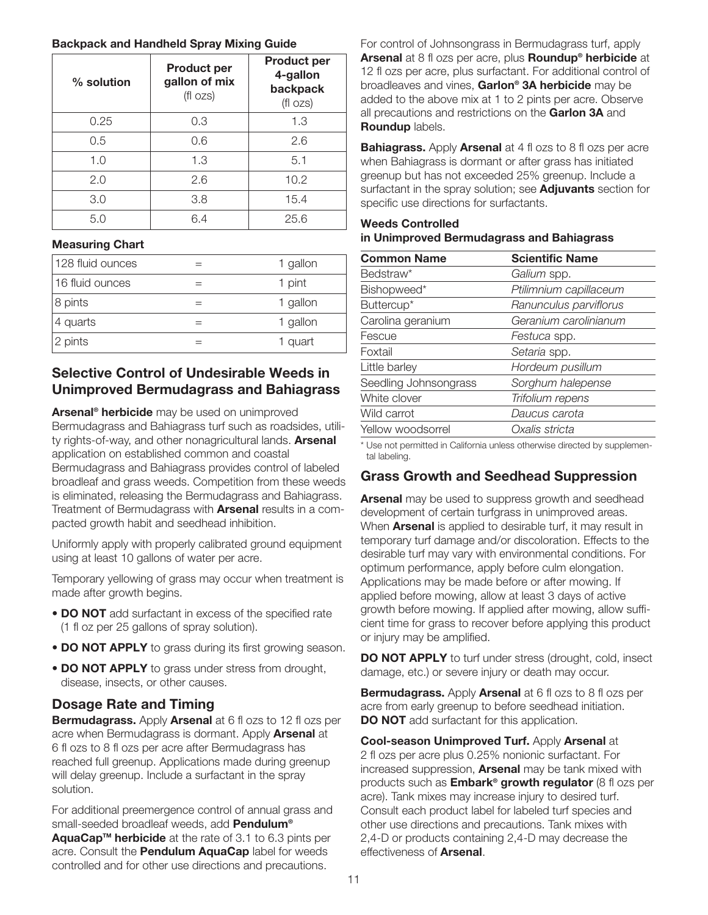#### **Backpack and Handheld Spray Mixing Guide**

| $%$ solution | <b>Product per</b><br>gallon of mix<br>(f ozs) | <b>Product per</b><br>4-gallon<br>backpack<br>(fl ozs) |
|--------------|------------------------------------------------|--------------------------------------------------------|
| 0.25         | 0.3                                            | 1.3                                                    |
| 0.5          | 0.6                                            | 2.6                                                    |
| 1.0          | 1.3                                            | 5.1                                                    |
| 2.0          | 2.6                                            | 10.2                                                   |
| 3.0          | 3.8                                            | 15.4                                                   |
| 5.0          | 6.4                                            | 25.6                                                   |

#### **Measuring Chart**

| 128 fluid ounces | 1 gallon |
|------------------|----------|
| 16 fluid ounces  | 1 pint   |
| 8 pints          | 1 gallon |
| 4 quarts         | 1 gallon |
| 2 pints          | 1 quart  |

### **Selective Control of Undesirable Weeds in Unimproved Bermudagrass and Bahiagrass**

**Arsenal® herbicide** may be used on unimproved Bermudagrass and Bahiagrass turf such as roadsides, utility rights-of-way, and other nonagricultural lands. **Arsenal** application on established common and coastal Bermudagrass and Bahiagrass provides control of labeled broadleaf and grass weeds. Competition from these weeds is eliminated, releasing the Bermudagrass and Bahiagrass. Treatment of Bermudagrass with **Arsenal** results in a compacted growth habit and seedhead inhibition.

Uniformly apply with properly calibrated ground equipment using at least 10 gallons of water per acre.

Temporary yellowing of grass may occur when treatment is made after growth begins.

- **DO NOT** add surfactant in excess of the specified rate (1 fl oz per 25 gallons of spray solution).
- **DO NOT APPLY** to grass during its first growing season.
- **DO NOT APPLY** to grass under stress from drought, disease, insects, or other causes.

# **Dosage Rate and Timing**

**Bermudagrass.** Apply **Arsenal** at 6 fl ozs to 12 fl ozs per acre when Bermudagrass is dormant. Apply **Arsenal** at 6 fl ozs to 8 fl ozs per acre after Bermudagrass has reached full greenup. Applications made during greenup will delay greenup. Include a surfactant in the spray solution.

For additional preemergence control of annual grass and small-seeded broadleaf weeds, add **Pendulum®**

**AquaCapTM herbicide** at the rate of 3.1 to 6.3 pints per acre. Consult the **Pendulum AquaCap** label for weeds controlled and for other use directions and precautions.

For control of Johnsongrass in Bermudagrass turf, apply **Arsenal** at 8 fl ozs per acre, plus **Roundup® herbicide** at 12 fl ozs per acre, plus surfactant. For additional control of broadleaves and vines, **Garlon® 3A herbicide** may be added to the above mix at 1 to 2 pints per acre. Observe all precautions and restrictions on the **Garlon 3A** and **Roundup** labels.

**Bahiagrass.** Apply **Arsenal** at 4 fl ozs to 8 fl ozs per acre when Bahiagrass is dormant or after grass has initiated greenup but has not exceeded 25% greenup. Include a surfactant in the spray solution; see **Adjuvants** section for specific use directions for surfactants.

#### **Weeds Controlled in Unimproved Bermudagrass and Bahiagrass**

| <b>Common Name</b>    | <b>Scientific Name</b> |
|-----------------------|------------------------|
| Bedstraw*             | Galium spp.            |
| Bishopweed*           | Ptilimnium capillaceum |
| Buttercup*            | Ranunculus parviflorus |
| Carolina geranium     | Geranium carolinianum  |
| Fescue                | Festuca spp.           |
| Foxtail               | Setaria spp.           |
| Little barley         | Hordeum pusillum       |
| Seedling Johnsongrass | Sorghum halepense      |
| White clover          | Trifolium repens       |
| Wild carrot           | Daucus carota          |
| Yellow woodsorrel     | Oxalis stricta         |

\* Use not permitted in California unless otherwise directed by supplemental labeling.

# **Grass Growth and Seedhead Suppression**

**Arsenal** may be used to suppress growth and seedhead development of certain turfgrass in unimproved areas. When **Arsenal** is applied to desirable turf, it may result in temporary turf damage and/or discoloration. Effects to the desirable turf may vary with environmental conditions. For optimum performance, apply before culm elongation. Applications may be made before or after mowing. If applied before mowing, allow at least 3 days of active growth before mowing. If applied after mowing, allow sufficient time for grass to recover before applying this product or injury may be amplified.

**DO NOT APPLY** to turf under stress (drought, cold, insect damage, etc.) or severe injury or death may occur.

**Bermudagrass.** Apply **Arsenal** at 6 fl ozs to 8 fl ozs per acre from early greenup to before seedhead initiation. **DO NOT** add surfactant for this application.

**Cool-season Unimproved Turf.** Apply **Arsenal** at 2 fl ozs per acre plus 0.25% nonionic surfactant. For increased suppression, **Arsenal** may be tank mixed with products such as **Embark® growth regulator** (8 fl ozs per acre). Tank mixes may increase injury to desired turf. Consult each product label for labeled turf species and other use directions and precautions. Tank mixes with 2,4-D or products containing 2,4-D may decrease the effectiveness of **Arsenal**.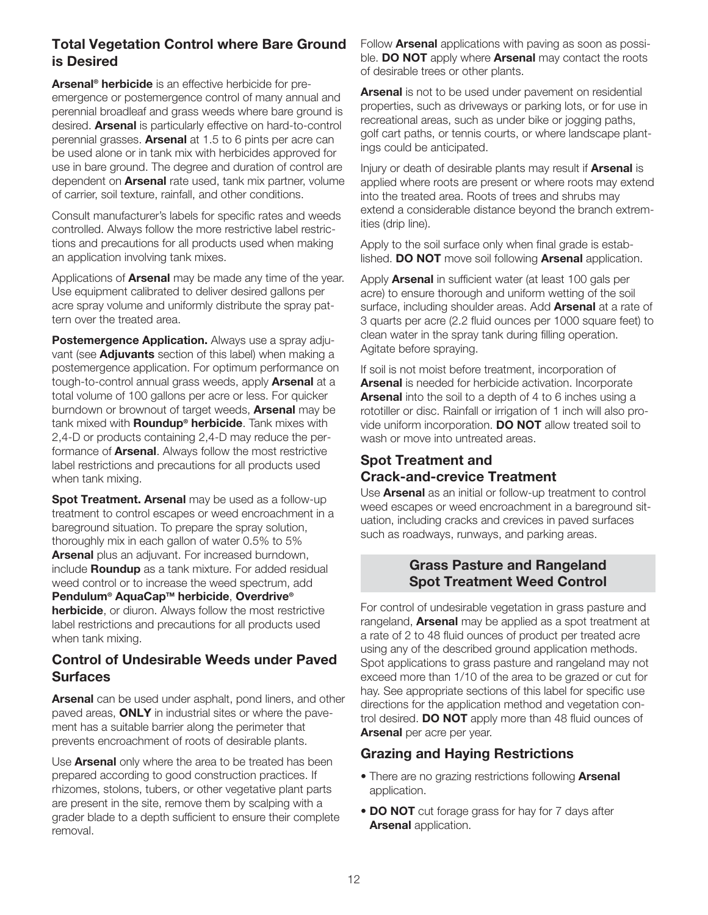# **Total Vegetation Control where Bare Ground is Desired**

**Arsenal® herbicide** is an effective herbicide for preemergence or postemergence control of many annual and perennial broadleaf and grass weeds where bare ground is desired. **Arsenal** is particularly effective on hard-to-control perennial grasses. **Arsenal** at 1.5 to 6 pints per acre can be used alone or in tank mix with herbicides approved for use in bare ground. The degree and duration of control are dependent on **Arsenal** rate used, tank mix partner, volume of carrier, soil texture, rainfall, and other conditions.

Consult manufacturer's labels for specific rates and weeds controlled. Always follow the more restrictive label restrictions and precautions for all products used when making an application involving tank mixes.

Applications of **Arsenal** may be made any time of the year. Use equipment calibrated to deliver desired gallons per acre spray volume and uniformly distribute the spray pattern over the treated area.

**Postemergence Application.** Always use a spray adjuvant (see **Adjuvants** section of this label) when making a postemergence application. For optimum performance on tough-to-control annual grass weeds, apply **Arsenal** at a total volume of 100 gallons per acre or less. For quicker burndown or brownout of target weeds, **Arsenal** may be tank mixed with **Roundup® herbicide**. Tank mixes with 2,4-D or products containing 2,4-D may reduce the performance of **Arsenal**. Always follow the most restrictive label restrictions and precautions for all products used when tank mixing.

**Spot Treatment. Arsenal** may be used as a follow-up treatment to control escapes or weed encroachment in a bareground situation. To prepare the spray solution, thoroughly mix in each gallon of water 0.5% to 5% **Arsenal** plus an adjuvant. For increased burndown, include **Roundup** as a tank mixture. For added residual weed control or to increase the weed spectrum, add **Pendulum® AquaCapTM herbicide**, **Overdrive® herbicide**, or diuron. Always follow the most restrictive label restrictions and precautions for all products used when tank mixing.

### **Control of Undesirable Weeds under Paved Surfaces**

**Arsenal** can be used under asphalt, pond liners, and other paved areas, **ONLY** in industrial sites or where the pavement has a suitable barrier along the perimeter that prevents encroachment of roots of desirable plants.

Use **Arsenal** only where the area to be treated has been prepared according to good construction practices. If rhizomes, stolons, tubers, or other vegetative plant parts are present in the site, remove them by scalping with a grader blade to a depth sufficient to ensure their complete removal.

Follow **Arsenal** applications with paving as soon as possible. **DO NOT** apply where **Arsenal** may contact the roots of desirable trees or other plants.

**Arsenal** is not to be used under pavement on residential properties, such as driveways or parking lots, or for use in recreational areas, such as under bike or jogging paths, golf cart paths, or tennis courts, or where landscape plantings could be anticipated.

Injury or death of desirable plants may result if **Arsenal** is applied where roots are present or where roots may extend into the treated area. Roots of trees and shrubs may extend a considerable distance beyond the branch extremities (drip line).

Apply to the soil surface only when final grade is established. **DO NOT** move soil following **Arsenal** application.

Apply **Arsenal** in sufficient water (at least 100 gals per acre) to ensure thorough and uniform wetting of the soil surface, including shoulder areas. Add **Arsenal** at a rate of 3 quarts per acre (2.2 fluid ounces per 1000 square feet) to clean water in the spray tank during filling operation. Agitate before spraying.

If soil is not moist before treatment, incorporation of **Arsenal** is needed for herbicide activation. Incorporate **Arsenal** into the soil to a depth of 4 to 6 inches using a rototiller or disc. Rainfall or irrigation of 1 inch will also provide uniform incorporation. **DO NOT** allow treated soil to wash or move into untreated areas.

### **Spot Treatment and Crack-and-crevice Treatment**

Use **Arsenal** as an initial or follow-up treatment to control weed escapes or weed encroachment in a bareground situation, including cracks and crevices in paved surfaces such as roadways, runways, and parking areas.

### **Grass Pasture and Rangeland Spot Treatment Weed Control**

For control of undesirable vegetation in grass pasture and rangeland, **Arsenal** may be applied as a spot treatment at a rate of 2 to 48 fluid ounces of product per treated acre using any of the described ground application methods. Spot applications to grass pasture and rangeland may not exceed more than 1/10 of the area to be grazed or cut for hay. See appropriate sections of this label for specific use directions for the application method and vegetation control desired. **DO NOT** apply more than 48 fluid ounces of **Arsenal** per acre per year.

# **Grazing and Haying Restrictions**

- There are no grazing restrictions following **Arsenal** application.
- **DO NOT** cut forage grass for hay for 7 days after **Arsenal** application.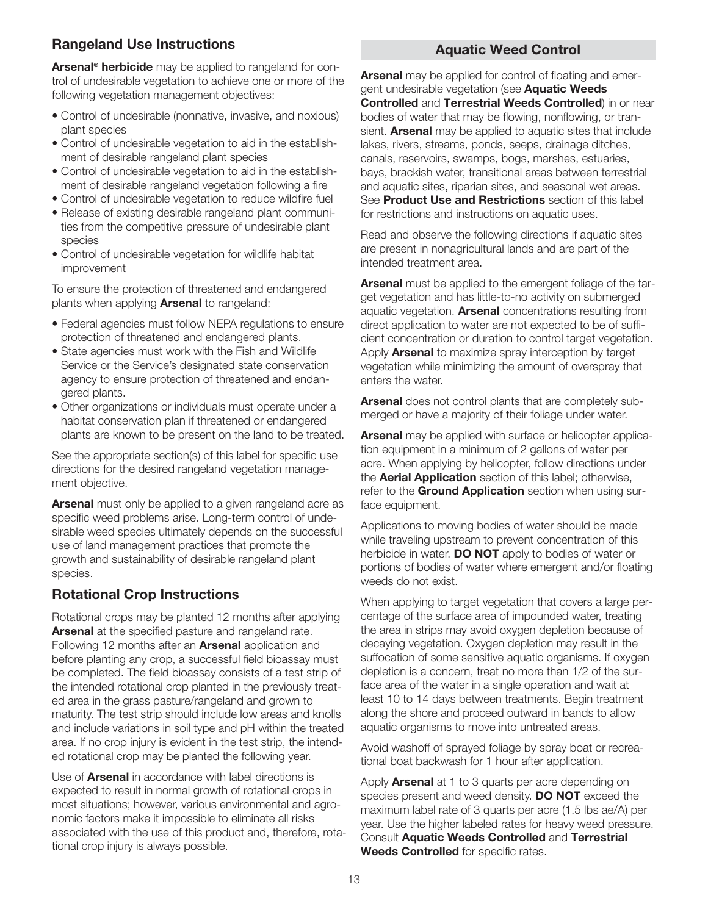# **Rangeland Use Instructions**

**Arsenal® herbicide** may be applied to rangeland for control of undesirable vegetation to achieve one or more of the following vegetation management objectives:

- Control of undesirable (nonnative, invasive, and noxious) plant species
- Control of undesirable vegetation to aid in the establishment of desirable rangeland plant species
- Control of undesirable vegetation to aid in the establishment of desirable rangeland vegetation following a fire
- Control of undesirable vegetation to reduce wildfire fuel
- Release of existing desirable rangeland plant communities from the competitive pressure of undesirable plant species
- Control of undesirable vegetation for wildlife habitat improvement

To ensure the protection of threatened and endangered plants when applying **Arsenal** to rangeland:

- Federal agencies must follow NEPA regulations to ensure protection of threatened and endangered plants.
- State agencies must work with the Fish and Wildlife Service or the Service's designated state conservation agency to ensure protection of threatened and endangered plants.
- Other organizations or individuals must operate under a habitat conservation plan if threatened or endangered plants are known to be present on the land to be treated.

See the appropriate section(s) of this label for specific use directions for the desired rangeland vegetation management objective.

**Arsenal** must only be applied to a given rangeland acre as specific weed problems arise. Long-term control of undesirable weed species ultimately depends on the successful use of land management practices that promote the growth and sustainability of desirable rangeland plant species.

# **Rotational Crop Instructions**

Rotational crops may be planted 12 months after applying **Arsenal** at the specified pasture and rangeland rate. Following 12 months after an **Arsenal** application and before planting any crop, a successful field bioassay must be completed. The field bioassay consists of a test strip of the intended rotational crop planted in the previously treated area in the grass pasture/rangeland and grown to maturity. The test strip should include low areas and knolls and include variations in soil type and pH within the treated area. If no crop injury is evident in the test strip, the intended rotational crop may be planted the following year.

Use of **Arsenal** in accordance with label directions is expected to result in normal growth of rotational crops in most situations; however, various environmental and agronomic factors make it impossible to eliminate all risks associated with the use of this product and, therefore, rotational crop injury is always possible.

### **Aquatic Weed Control**

**Arsenal** may be applied for control of floating and emergent undesirable vegetation (see **Aquatic Weeds Controlled** and **Terrestrial Weeds Controlled**) in or near bodies of water that may be flowing, nonflowing, or transient. **Arsenal** may be applied to aquatic sites that include lakes, rivers, streams, ponds, seeps, drainage ditches, canals, reservoirs, swamps, bogs, marshes, estuaries, bays, brackish water, transitional areas between terrestrial and aquatic sites, riparian sites, and seasonal wet areas. See **Product Use and Restrictions** section of this label for restrictions and instructions on aquatic uses.

Read and observe the following directions if aquatic sites are present in nonagricultural lands and are part of the intended treatment area.

**Arsenal** must be applied to the emergent foliage of the target vegetation and has little-to-no activity on submerged aquatic vegetation. **Arsenal** concentrations resulting from direct application to water are not expected to be of sufficient concentration or duration to control target vegetation. Apply **Arsenal** to maximize spray interception by target vegetation while minimizing the amount of overspray that enters the water.

**Arsenal** does not control plants that are completely submerged or have a majority of their foliage under water.

**Arsenal** may be applied with surface or helicopter application equipment in a minimum of 2 gallons of water per acre. When applying by helicopter, follow directions under the **Aerial Application** section of this label; otherwise, refer to the **Ground Application** section when using surface equipment.

Applications to moving bodies of water should be made while traveling upstream to prevent concentration of this herbicide in water. **DO NOT** apply to bodies of water or portions of bodies of water where emergent and/or floating weeds do not exist.

When applying to target vegetation that covers a large percentage of the surface area of impounded water, treating the area in strips may avoid oxygen depletion because of decaying vegetation. Oxygen depletion may result in the suffocation of some sensitive aquatic organisms. If oxygen depletion is a concern, treat no more than 1/2 of the surface area of the water in a single operation and wait at least 10 to 14 days between treatments. Begin treatment along the shore and proceed outward in bands to allow aquatic organisms to move into untreated areas.

Avoid washoff of sprayed foliage by spray boat or recreational boat backwash for 1 hour after application.

Apply **Arsenal** at 1 to 3 quarts per acre depending on species present and weed density. **DO NOT** exceed the maximum label rate of 3 quarts per acre (1.5 lbs ae/A) per year. Use the higher labeled rates for heavy weed pressure. Consult **Aquatic Weeds Controlled** and **Terrestrial Weeds Controlled** for specific rates.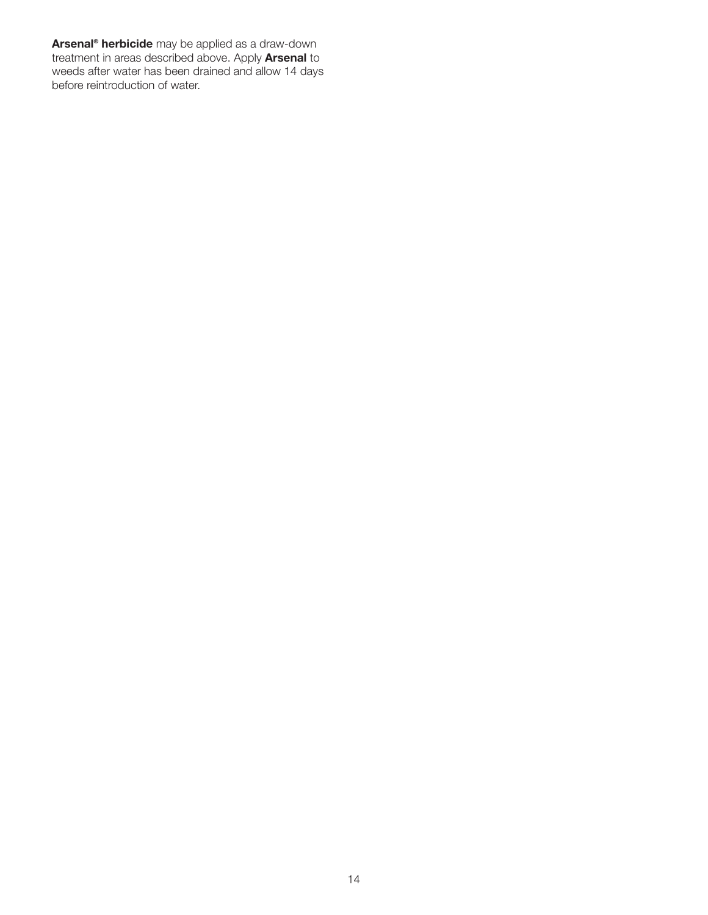**Arsenal® herbicide** may be applied as a draw-down treatment in areas described above. Apply **Arsenal** to weeds after water has been drained and allow 14 days before reintroduction of water.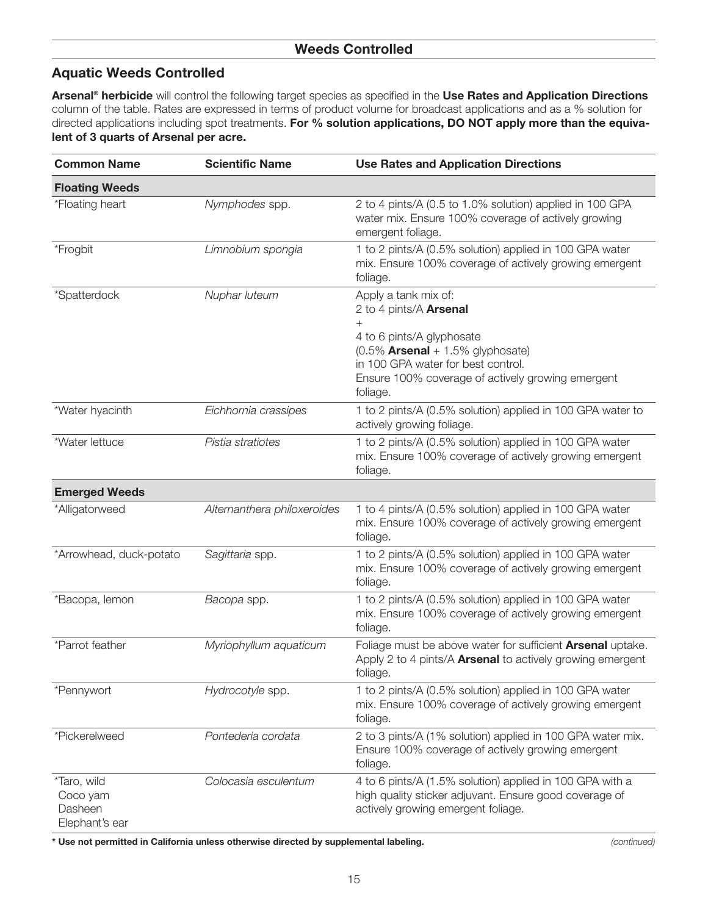### **Aquatic Weeds Controlled**

**Arsenal® herbicide** will control the following target species as specified in the **Use Rates and Application Directions** column of the table. Rates are expressed in terms of product volume for broadcast applications and as a % solution for directed applications including spot treatments. **For % solution applications, DO NOT apply more than the equivalent of 3 quarts of Arsenal per acre.**

| <b>Common Name</b>                                   | <b>Scientific Name</b>      | <b>Use Rates and Application Directions</b>                                                                                                                                                                                      |
|------------------------------------------------------|-----------------------------|----------------------------------------------------------------------------------------------------------------------------------------------------------------------------------------------------------------------------------|
| <b>Floating Weeds</b>                                |                             |                                                                                                                                                                                                                                  |
| *Floating heart                                      | Nymphodes spp.              | 2 to 4 pints/A (0.5 to 1.0% solution) applied in 100 GPA<br>water mix. Ensure 100% coverage of actively growing<br>emergent foliage.                                                                                             |
| *Frogbit                                             | Limnobium spongia           | 1 to 2 pints/A (0.5% solution) applied in 100 GPA water<br>mix. Ensure 100% coverage of actively growing emergent<br>foliage.                                                                                                    |
| *Spatterdock                                         | Nuphar luteum               | Apply a tank mix of:<br>2 to 4 pints/A Arsenal<br>$+$<br>4 to 6 pints/A glyphosate<br>$(0.5\%$ Arsenal + 1.5% glyphosate)<br>in 100 GPA water for best control.<br>Ensure 100% coverage of actively growing emergent<br>foliage. |
| *Water hyacinth                                      | Eichhornia crassipes        | 1 to 2 pints/A (0.5% solution) applied in 100 GPA water to<br>actively growing foliage.                                                                                                                                          |
| *Water lettuce                                       | Pistia stratiotes           | 1 to 2 pints/A (0.5% solution) applied in 100 GPA water<br>mix. Ensure 100% coverage of actively growing emergent<br>foliage.                                                                                                    |
| <b>Emerged Weeds</b>                                 |                             |                                                                                                                                                                                                                                  |
| *Alligatorweed                                       | Alternanthera philoxeroides | 1 to 4 pints/A (0.5% solution) applied in 100 GPA water<br>mix. Ensure 100% coverage of actively growing emergent<br>foliage.                                                                                                    |
| *Arrowhead, duck-potato                              | Sagittaria spp.             | 1 to 2 pints/A (0.5% solution) applied in 100 GPA water<br>mix. Ensure 100% coverage of actively growing emergent<br>foliage.                                                                                                    |
| *Bacopa, lemon                                       | Bacopa spp.                 | 1 to 2 pints/A (0.5% solution) applied in 100 GPA water<br>mix. Ensure 100% coverage of actively growing emergent<br>foliage.                                                                                                    |
| *Parrot feather                                      | Myriophyllum aquaticum      | Foliage must be above water for sufficient <b>Arsenal</b> uptake.<br>Apply 2 to 4 pints/A Arsenal to actively growing emergent<br>foliage.                                                                                       |
| *Pennywort                                           | Hydrocotyle spp.            | 1 to 2 pints/A (0.5% solution) applied in 100 GPA water<br>mix. Ensure 100% coverage of actively growing emergent<br>foliage.                                                                                                    |
| *Pickerelweed                                        | Pontederia cordata          | 2 to 3 pints/A (1% solution) applied in 100 GPA water mix.<br>Ensure 100% coverage of actively growing emergent<br>foliage.                                                                                                      |
| *Taro, wild<br>Coco yam<br>Dasheen<br>Elephant's ear | Colocasia esculentum        | 4 to 6 pints/A (1.5% solution) applied in 100 GPA with a<br>high quality sticker adjuvant. Ensure good coverage of<br>actively growing emergent foliage.                                                                         |

**\* Use not permitted in California unless otherwise directed by supplemental labeling.** *(continued)*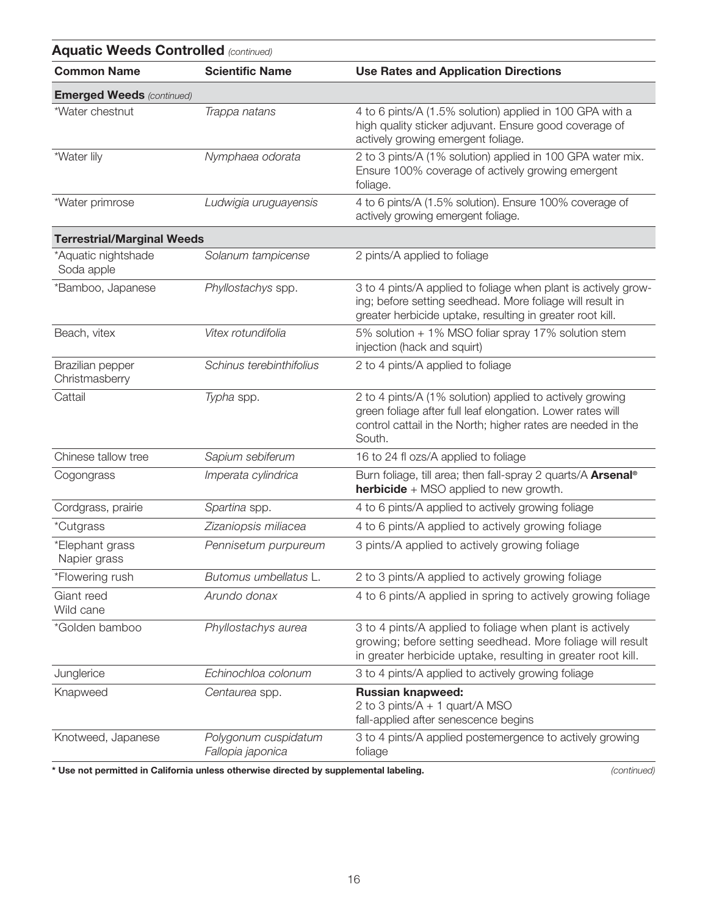| <b>Aquatic Weeds Controlled (continued)</b> |                                           |                                                                                                                                                                                                  |
|---------------------------------------------|-------------------------------------------|--------------------------------------------------------------------------------------------------------------------------------------------------------------------------------------------------|
| <b>Common Name</b>                          | <b>Scientific Name</b>                    | <b>Use Rates and Application Directions</b>                                                                                                                                                      |
| <b>Emerged Weeds (continued)</b>            |                                           |                                                                                                                                                                                                  |
| *Water chestnut                             | Trappa natans                             | 4 to 6 pints/A (1.5% solution) applied in 100 GPA with a<br>high quality sticker adjuvant. Ensure good coverage of<br>actively growing emergent foliage.                                         |
| *Water lily                                 | Nymphaea odorata                          | 2 to 3 pints/A (1% solution) applied in 100 GPA water mix.<br>Ensure 100% coverage of actively growing emergent<br>foliage.                                                                      |
| *Water primrose                             | Ludwigia uruguayensis                     | 4 to 6 pints/A (1.5% solution). Ensure 100% coverage of<br>actively growing emergent foliage.                                                                                                    |
| <b>Terrestrial/Marginal Weeds</b>           |                                           |                                                                                                                                                                                                  |
| *Aquatic nightshade<br>Soda apple           | Solanum tampicense                        | 2 pints/A applied to foliage                                                                                                                                                                     |
| *Bamboo, Japanese                           | Phyllostachys spp.                        | 3 to 4 pints/A applied to foliage when plant is actively grow-<br>ing; before setting seedhead. More foliage will result in<br>greater herbicide uptake, resulting in greater root kill.         |
| Beach, vitex                                | Vitex rotundifolia                        | 5% solution + 1% MSO foliar spray 17% solution stem<br>injection (hack and squirt)                                                                                                               |
| Brazilian pepper<br>Christmasberry          | Schinus terebinthifolius                  | 2 to 4 pints/A applied to foliage                                                                                                                                                                |
| Cattail                                     | Typha spp.                                | 2 to 4 pints/A (1% solution) applied to actively growing<br>green foliage after full leaf elongation. Lower rates will<br>control cattail in the North; higher rates are needed in the<br>South. |
| Chinese tallow tree                         | Sapium sebiferum                          | 16 to 24 fl ozs/A applied to foliage                                                                                                                                                             |
| Cogongrass                                  | Imperata cylindrica                       | Burn foliage, till area; then fall-spray 2 quarts/A Arsenal®<br><b>herbicide</b> + MSO applied to new growth.                                                                                    |
| Cordgrass, prairie                          | Spartina spp.                             | 4 to 6 pints/A applied to actively growing foliage                                                                                                                                               |
| <i>*Cutgrass</i>                            | Zizaniopsis miliacea                      | 4 to 6 pints/A applied to actively growing foliage                                                                                                                                               |
| *Elephant grass<br>Napier grass             | Pennisetum purpureum                      | 3 pints/A applied to actively growing foliage                                                                                                                                                    |
| *Flowering rush                             | Butomus umbellatus L.                     | 2 to 3 pints/A applied to actively growing foliage                                                                                                                                               |
| Giant reed<br>Wild cane                     | Arundo donax                              | 4 to 6 pints/A applied in spring to actively growing foliage                                                                                                                                     |
| *Golden bamboo                              | Phyllostachys aurea                       | 3 to 4 pints/A applied to foliage when plant is actively<br>growing; before setting seedhead. More foliage will result<br>in greater herbicide uptake, resulting in greater root kill.           |
| Junglerice                                  | Echinochloa colonum                       | 3 to 4 pints/A applied to actively growing foliage                                                                                                                                               |
| Knapweed                                    | Centaurea spp.                            | <b>Russian knapweed:</b><br>2 to 3 pints/A + 1 quart/A MSO<br>fall-applied after senescence begins                                                                                               |
| Knotweed, Japanese                          | Polygonum cuspidatum<br>Fallopia japonica | 3 to 4 pints/A applied postemergence to actively growing<br>foliage                                                                                                                              |

**\* Use not permitted in California unless otherwise directed by supplemental labeling.** *(continued)*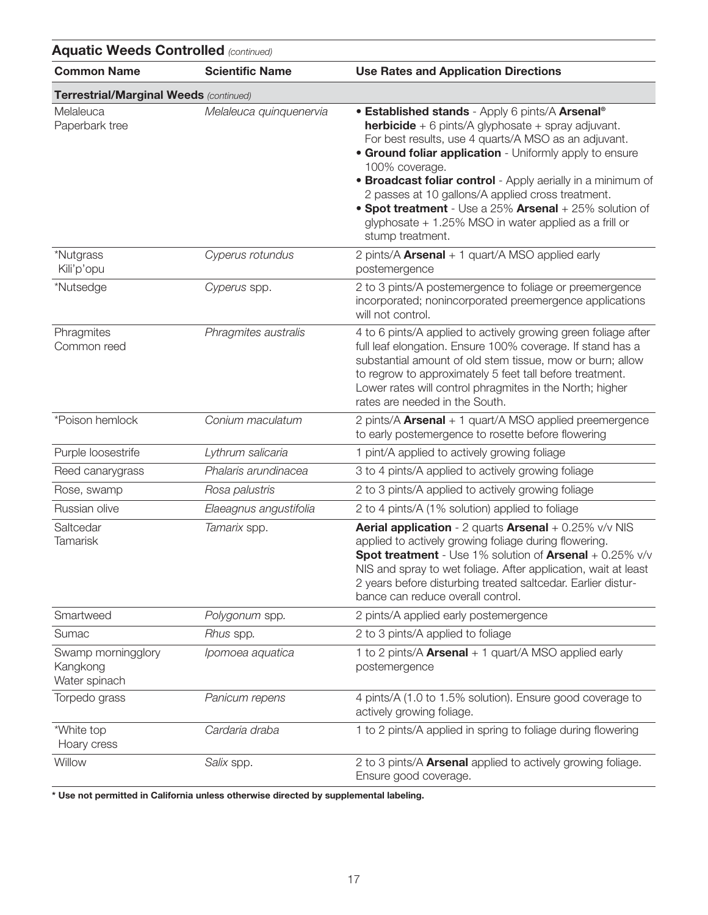| <b>Aquatic Weeds Controlled (continued)</b>     |                         |                                                                                                                                                                                                                                                                                                                                                                                                                                                                                                                            |
|-------------------------------------------------|-------------------------|----------------------------------------------------------------------------------------------------------------------------------------------------------------------------------------------------------------------------------------------------------------------------------------------------------------------------------------------------------------------------------------------------------------------------------------------------------------------------------------------------------------------------|
| <b>Common Name</b>                              | <b>Scientific Name</b>  | <b>Use Rates and Application Directions</b>                                                                                                                                                                                                                                                                                                                                                                                                                                                                                |
| Terrestrial/Marginal Weeds (continued)          |                         |                                                                                                                                                                                                                                                                                                                                                                                                                                                                                                                            |
| Melaleuca<br>Paperbark tree                     | Melaleuca quinquenervia | • Established stands - Apply 6 pints/A Arsenal®<br><b>herbicide</b> + 6 pints/A glyphosate + spray adjuvant.<br>For best results, use 4 quarts/A MSO as an adjuvant.<br><b>• Ground foliar application</b> - Uniformly apply to ensure<br>100% coverage.<br><b>• Broadcast foliar control</b> - Apply aerially in a minimum of<br>2 passes at 10 gallons/A applied cross treatment.<br>• Spot treatment - Use a 25% Arsenal + 25% solution of<br>glyphosate + 1.25% MSO in water applied as a frill or<br>stump treatment. |
| *Nutgrass<br>Kili'p'opu                         | Cyperus rotundus        | 2 pints/A Arsenal + 1 quart/A MSO applied early<br>postemergence                                                                                                                                                                                                                                                                                                                                                                                                                                                           |
| *Nutsedge                                       | Cyperus spp.            | 2 to 3 pints/A postemergence to foliage or preemergence<br>incorporated; nonincorporated preemergence applications<br>will not control.                                                                                                                                                                                                                                                                                                                                                                                    |
| Phragmites<br>Common reed                       | Phragmites australis    | 4 to 6 pints/A applied to actively growing green foliage after<br>full leaf elongation. Ensure 100% coverage. If stand has a<br>substantial amount of old stem tissue, mow or burn; allow<br>to regrow to approximately 5 feet tall before treatment.<br>Lower rates will control phragmites in the North; higher<br>rates are needed in the South.                                                                                                                                                                        |
| *Poison hemlock                                 | Conium maculatum        | 2 pints/A <b>Arsenal</b> + 1 quart/A MSO applied preemergence<br>to early postemergence to rosette before flowering                                                                                                                                                                                                                                                                                                                                                                                                        |
| Purple loosestrife                              | Lythrum salicaria       | 1 pint/A applied to actively growing foliage                                                                                                                                                                                                                                                                                                                                                                                                                                                                               |
| Reed canarygrass                                | Phalaris arundinacea    | 3 to 4 pints/A applied to actively growing foliage                                                                                                                                                                                                                                                                                                                                                                                                                                                                         |
| Rose, swamp                                     | Rosa palustris          | 2 to 3 pints/A applied to actively growing foliage                                                                                                                                                                                                                                                                                                                                                                                                                                                                         |
| Russian olive                                   | Elaeagnus angustifolia  | 2 to 4 pints/A (1% solution) applied to foliage                                                                                                                                                                                                                                                                                                                                                                                                                                                                            |
| Saltcedar<br><b>Tamarisk</b>                    | Tamarix spp.            | <b>Aerial application</b> - 2 quarts <b>Arsenal</b> + $0.25\%$ v/v NIS<br>applied to actively growing foliage during flowering.<br>Spot treatment - Use 1% solution of Arsenal + 0.25% v/v<br>NIS and spray to wet foliage. After application, wait at least<br>2 years before disturbing treated saltcedar. Earlier distur-<br>bance can reduce overall control.                                                                                                                                                          |
| Smartweed                                       | Polygonum spp.          | 2 pints/A applied early postemergence                                                                                                                                                                                                                                                                                                                                                                                                                                                                                      |
| Sumac                                           | Rhus spp.               | 2 to 3 pints/A applied to foliage                                                                                                                                                                                                                                                                                                                                                                                                                                                                                          |
| Swamp morningglory<br>Kangkong<br>Water spinach | Ipomoea aquatica        | 1 to 2 pints/A Arsenal + 1 quart/A MSO applied early<br>postemergence                                                                                                                                                                                                                                                                                                                                                                                                                                                      |
| Torpedo grass                                   | Panicum repens          | 4 pints/A (1.0 to 1.5% solution). Ensure good coverage to<br>actively growing foliage.                                                                                                                                                                                                                                                                                                                                                                                                                                     |
| *White top<br>Hoary cress                       | Cardaria draba          | 1 to 2 pints/A applied in spring to foliage during flowering                                                                                                                                                                                                                                                                                                                                                                                                                                                               |
| Willow                                          | Salix spp.              | 2 to 3 pints/A Arsenal applied to actively growing foliage.<br>Ensure good coverage.                                                                                                                                                                                                                                                                                                                                                                                                                                       |

**\* Use not permitted in California unless otherwise directed by supplemental labeling.**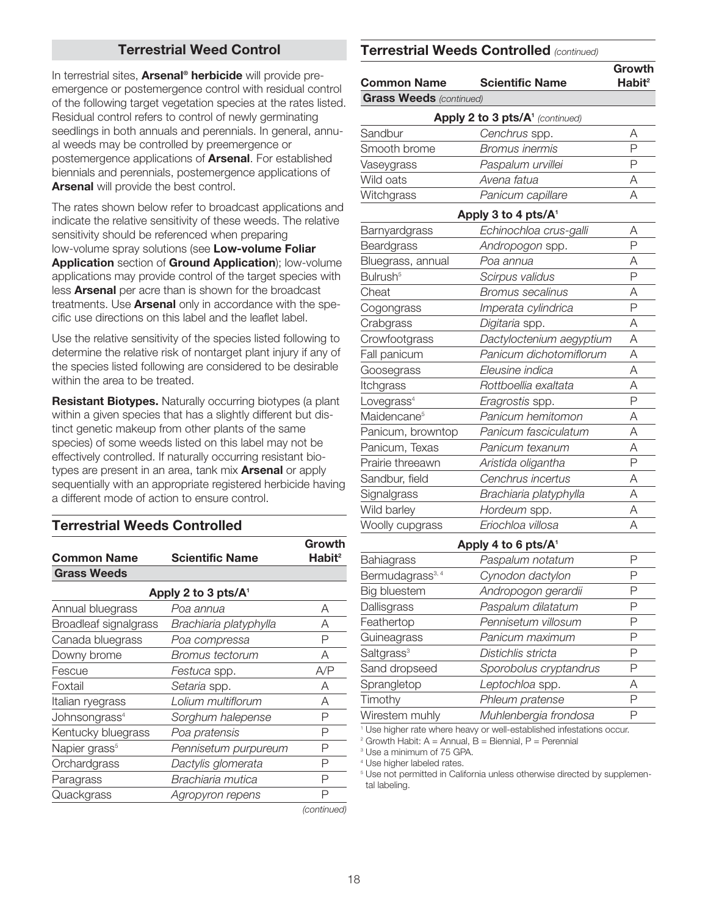### **Terrestrial Weed Control**

In terrestrial sites, **Arsenal® herbicide** will provide preemergence or postemergence control with residual control of the following target vegetation species at the rates listed. Residual control refers to control of newly germinating seedlings in both annuals and perennials. In general, annual weeds may be controlled by preemergence or postemergence applications of **Arsenal**. For established biennials and perennials, postemergence applications of **Arsenal** will provide the best control.

The rates shown below refer to broadcast applications and indicate the relative sensitivity of these weeds. The relative sensitivity should be referenced when preparing low-volume spray solutions (see **Low-volume Foliar Application** section of **Ground Application**); low-volume applications may provide control of the target species with less **Arsenal** per acre than is shown for the broadcast treatments. Use **Arsenal** only in accordance with the specific use directions on this label and the leaflet label.

Use the relative sensitivity of the species listed following to determine the relative risk of nontarget plant injury if any of the species listed following are considered to be desirable within the area to be treated.

**Resistant Biotypes.** Naturally occurring biotypes (a plant within a given species that has a slightly different but distinct genetic makeup from other plants of the same species) of some weeds listed on this label may not be effectively controlled. If naturally occurring resistant biotypes are present in an area, tank mix **Arsenal** or apply sequentially with an appropriate registered herbicide having a different mode of action to ensure control.

### **Terrestrial Weeds Controlled**

| <b>Common Name</b>        | <b>Scientific Name</b>  | Growth<br>Habit <sup>2</sup> |
|---------------------------|-------------------------|------------------------------|
| <b>Grass Weeds</b>        |                         |                              |
|                           | Apply 2 to 3 pts/ $A^1$ |                              |
| Annual bluegrass          | Poa annua               | A                            |
| Broadleaf signalgrass     | Brachiaria platyphylla  | Α                            |
| Canada bluegrass          | Poa compressa           | Ρ                            |
| Downy brome               | Bromus tectorum         | A                            |
| Fescue                    | Festuca spp.            | A/P                          |
| Foxtail                   | Setaria spp.            | Α                            |
| Italian ryegrass          | Lolium multiflorum      | А                            |
| Johnsongrass <sup>4</sup> | Sorghum halepense       | Ρ                            |
| Kentucky bluegrass        | Poa pratensis           | Ρ                            |
| Napier grass <sup>5</sup> | Pennisetum purpureum    | Ρ                            |
| Orchardgrass              | Dactylis glomerata      | Р                            |
| Paragrass                 | Brachiaria mutica       | Р                            |
| Quackgrass                | Agropyron repens        | Р                            |
|                           |                         |                              |

#### **Terrestrial Weeds Controlled** *(continued)*

| <b>Common Name</b>             | <b>Scientific Name</b>                      | Growth<br>$H$ abit <sup>2</sup> |
|--------------------------------|---------------------------------------------|---------------------------------|
| <b>Grass Weeds (continued)</b> |                                             |                                 |
|                                | Apply 2 to 3 pts/A <sup>1</sup> (continued) |                                 |
| Sandbur                        | Cenchrus spp.                               | Α                               |
| Smooth brome                   | <i>Bromus inermis</i>                       | P                               |
| Vaseygrass                     | Paspalum urvillei                           | P                               |
| Wild oats                      | Avena fatua                                 | Α                               |
| Witchgrass                     | Panicum capillare                           | A                               |
|                                | Apply 3 to 4 pts/A <sup>1</sup>             |                                 |
| Barnyardgrass                  | Echinochloa crus-galli                      | Α                               |
| Beardgrass                     | Andropogon spp.                             | P                               |
| Bluegrass, annual              | Poa annua                                   | Α                               |
| Bulrush <sup>5</sup>           | Scirpus validus                             | P                               |
| Cheat                          | <b>Bromus secalinus</b>                     | Α                               |
| Cogongrass                     | Imperata cylindrica                         | P                               |
| Crabgrass                      | Digitaria spp.                              | Α                               |
| Crowfootgrass                  | Dactyloctenium aegyptium                    | Α                               |
| Fall panicum                   | Panicum dichotomiflorum                     | A                               |
| Goosegrass                     | Eleusine indica                             | Α                               |
| Itchgrass                      | Rottboellia exaltata                        | Α                               |
| Lovegrass <sup>4</sup>         | Eragrostis spp.                             | P                               |
| Maidencane <sup>5</sup>        | Panicum hemitomon                           | А                               |
| Panicum, browntop              | Panicum fasciculatum                        | Α                               |
| Panicum, Texas                 | Panicum texanum                             | A                               |
| Prairie threeawn               | Aristida oligantha                          | P                               |
| Sandbur, field                 | Cenchrus incertus                           | A                               |
| Signalgrass                    | Brachiaria platyphylla                      | Α                               |
| Wild barley                    | Hordeum spp.                                | A                               |
| Woolly cupgrass                | Eriochloa villosa                           | А                               |
|                                | Apply 4 to 6 pts/A <sup>1</sup>             |                                 |
| <b>Bahiagrass</b>              | Paspalum notatum                            | Ρ                               |
| Bermudagrass <sup>3, 4</sup>   | Cynodon dactylon                            | $\mathsf P$                     |
| <b>Big bluestem</b>            | Andropogon gerardii                         | Ρ                               |
| Dallisgrass                    | Paspalum dilatatum                          | P                               |
| Feathertop                     | Pennisetum villosum                         | P                               |
| Guineagrass                    | Panicum maximum                             | P                               |
| Saltgrass <sup>3</sup>         | Distichlis stricta                          | P                               |
| Sand dropseed                  | Sporobolus cryptandrus                      | Ρ                               |

Timothy *Phleum pratense* P Wirestem muhly *Muhlenbergia frondosa* P

Sprangletop *Leptochloa* spp. A

<sup>1</sup> Use higher rate where heavy or well-established infestations occur.

 $2$  Growth Habit: A = Annual, B = Biennial, P = Perennial

<sup>3</sup> Use a minimum of 75 GPA.

<sup>4</sup> Use higher labeled rates.

<sup>5</sup> Use not permitted in California unless otherwise directed by supplemental labeling.

*(continued)*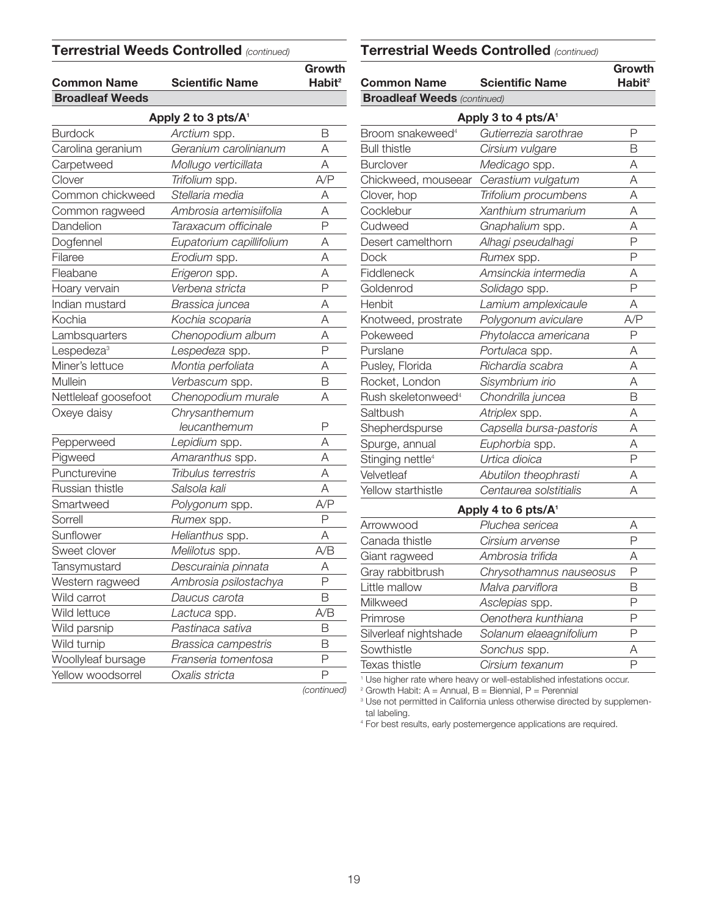### **Terrestrial Weeds Controlled** *(continued)*

| <b>Common Name</b>     | <b>Scientific Name</b>          | Growth<br>Habit <sup>2</sup> |
|------------------------|---------------------------------|------------------------------|
| <b>Broadleaf Weeds</b> |                                 |                              |
|                        | Apply 2 to 3 pts/A <sup>1</sup> |                              |
| <b>Burdock</b>         | Arctium spp.                    | В                            |
| Carolina geranium      | Geranium carolinianum           | А                            |
| Carpetweed             | Mollugo verticillata            | А                            |
| Clover                 | Trifolium spp.                  | A/P                          |
| Common chickweed       | Stellaria media                 | Α                            |
| Common ragweed         | Ambrosia artemisiifolia         | А                            |
| Dandelion              | Taraxacum officinale            | P                            |
| Dogfennel              | Eupatorium capillifolium        | Α                            |
| Filaree                | Erodium spp.                    | A                            |
| Fleabane               | Erigeron spp.                   | Α                            |
| Hoary vervain          | Verbena stricta                 | Ρ                            |
| Indian mustard         | Brassica juncea                 | Α                            |
| Kochia                 | Kochia scoparia                 | А                            |
| Lambsquarters          | Chenopodium album               | А                            |
| Lespedeza <sup>3</sup> | Lespedeza spp.                  | P                            |
| Miner's lettuce        | Montia perfoliata               | А                            |
| Mullein                | Verbascum spp.                  | B                            |
| Nettleleaf goosefoot   | Chenopodium murale              | А                            |
| Oxeye daisy            | Chrysanthemum                   |                              |
|                        | leucanthemum                    | Ρ                            |
| Pepperweed             | Lepidium spp.                   | А                            |
| Pigweed                | Amaranthus spp.                 | А                            |
| Puncturevine           | Tribulus terrestris             | Α                            |
| Russian thistle        | Salsola kali                    | Α                            |
| Smartweed              | Polygonum spp.                  | A/P                          |
| Sorrell                | Rumex spp.                      | Ρ                            |
| Sunflower              | Helianthus spp.                 | Α                            |
| Sweet clover           | Melilotus spp.                  | A/B                          |
| Tansymustard           | Descurainia pinnata             | Α                            |
| Western ragweed        | Ambrosia psilostachya           | Ρ                            |
| Wild carrot            | Daucus carota                   | В                            |
| Wild lettuce           | Lactuca spp.                    | A/B                          |
| Wild parsnip           | Pastinaca sativa                | В                            |
| Wild turnip            | Brassica campestris             | В                            |
| Woollyleaf bursage     | Franseria tomentosa             | P                            |
| Yellow woodsorrel      | Oxalis stricta                  | P                            |
|                        |                                 | (continued)                  |

| <b>Common Name</b>                 | <b>Scientific Name</b>          | Growth<br>Habit <sup>2</sup> |
|------------------------------------|---------------------------------|------------------------------|
| <b>Broadleaf Weeds (continued)</b> |                                 |                              |
|                                    | Apply 3 to 4 pts/A <sup>1</sup> |                              |
| Broom snakeweed <sup>4</sup>       | Gutierrezia sarothrae           | P                            |
| <b>Bull thistle</b>                | Cirsium vulgare                 | В                            |
| <b>Burclover</b>                   | Medicago spp.                   | Α                            |
| Chickweed, mouseear                | Cerastium vulgatum              | Α                            |
| Clover, hop                        | Trifolium procumbens            | Α                            |
| Cocklebur                          | Xanthium strumarium             | Α                            |
| Cudweed                            | Gnaphalium spp.                 | A                            |
| Desert camelthorn                  | Alhagi pseudalhagi              | P                            |
| <b>Dock</b>                        | Rumex spp.                      | P                            |
| Fiddleneck                         | Amsinckia intermedia            | Α                            |
| Goldenrod                          | Solidago spp.                   | P                            |
| Henbit                             | Lamium amplexicaule             | Α                            |
| Knotweed, prostrate                | Polygonum aviculare             | A/P                          |
| Pokeweed                           | Phytolacca americana            | P                            |
| Purslane                           | Portulaca spp.                  | A                            |
| Pusley, Florida                    | Richardia scabra                | Α                            |
| Rocket, London                     | Sisymbrium irio                 | А                            |
| Rush skeletonweed <sup>4</sup>     | Chondrilla juncea               | B                            |
| Saltbush                           | Atriplex spp.                   | А                            |
| Shepherdspurse                     | Capsella bursa-pastoris         | А                            |
| Spurge, annual                     | Euphorbia spp.                  | А                            |
| Stinging nettle <sup>4</sup>       | Urtica dioica                   | P                            |
| Velvetleaf                         | Abutilon theophrasti            | А                            |
| Yellow starthistle                 | Centaurea solstitialis          | Α                            |
|                                    | Apply 4 to 6 pts/A <sup>1</sup> |                              |
| Arrowwood                          | Pluchea sericea                 | Α                            |
| Canada thistle                     | Cirsium arvense                 | P                            |
| Giant ragweed                      | Ambrosia trifida                | Α                            |
| Gray rabbitbrush                   | Chrysothamnus nauseosus         | Ρ                            |
| Little mallow                      | Malva parviflora                | В                            |
| Milkweed                           | Asclepias spp.                  | P                            |
| Primrose                           | Oenothera kunthiana             | P                            |
| Silverleaf nightshade              | Solanum elaeagnifolium          | P                            |
| Sowthistle                         | Sonchus spp.                    | Α                            |
| Texas thistle                      | Cirsium texanum                 | P                            |

<sup>1</sup> Use higher rate where heavy or well-established infestations occur.

 $2$  Growth Habit: A = Annual, B = Biennial, P = Perennial

<sup>3</sup> Use not permitted in California unless otherwise directed by supplemental labeling.

<sup>4</sup> For best results, early postemergence applications are required.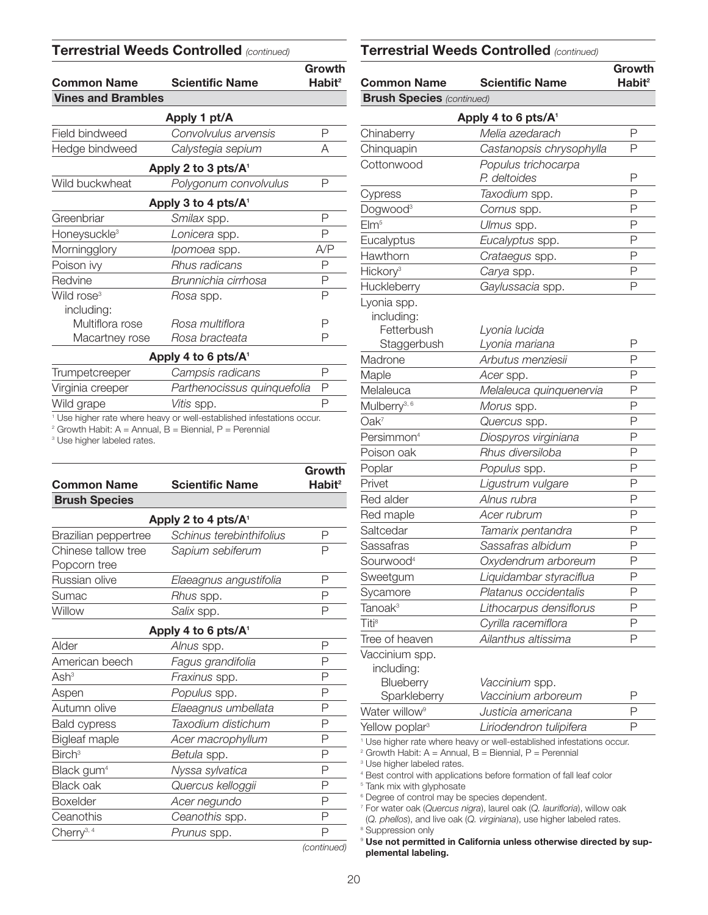#### **Terrestrial Weeds Controlled** *(continued)*

| <b>Common Name</b>        | <b>Scientific Name</b>  | Growth<br>Habit <sup>2</sup> |
|---------------------------|-------------------------|------------------------------|
| <b>Vines and Brambles</b> |                         |                              |
|                           | Apply 1 pt/A            |                              |
| Field bindweed            | Convolvulus arvensis    | Ρ                            |
| Hedge bindweed            | Calystegia sepium       | А                            |
|                           | Apply 2 to 3 pts/ $A^1$ |                              |
| Wild buckwheat            | Polygonum convolvulus   | Ρ                            |
|                           | Apply 3 to 4 pts/ $A^1$ |                              |
| Greenbriar                | <i>Smilax</i> spp.      | Ρ                            |
| Honeysuckle <sup>3</sup>  | Lonicera spp.           | P                            |
| Morningglory              | Ipomoea spp.            | A/P                          |
| Poison ivy                | Rhus radicans           | Ρ                            |
| Redvine                   | Brunnichia cirrhosa     | Ρ                            |
| Wild rose <sup>3</sup>    | <i>Hosa</i> spp.        | Ρ                            |
| including:                |                         |                              |
| Multiflora rose           | Rosa multiflora         | Ρ                            |
| Macartney rose            | Rosa bracteata          | Ρ                            |
|                           | Apply 4 to 6 pts/ $A^1$ |                              |

| Trumpetcreeper   | Campsis radicans                                                                 |  |
|------------------|----------------------------------------------------------------------------------|--|
| Virginia creeper | Parthenocissus quinquefolia                                                      |  |
| Wild grape       | <i>Vitis</i> spp.                                                                |  |
|                  | <sup>1</sup> Use higher rate where heavy or well-established infestations occur. |  |

 $2$  Growth Habit: A = Annual, B = Biennial, P = Perennial

<sup>3</sup> Use higher labeled rates.

| <b>Common Name</b>                  | <b>Scientific Name</b>          | Growth<br>Habit <sup>2</sup> |
|-------------------------------------|---------------------------------|------------------------------|
| <b>Brush Species</b>                |                                 |                              |
|                                     | Apply 2 to 4 pts/A <sup>1</sup> |                              |
| Brazilian peppertree                | Schinus terebinthifolius        | Ρ                            |
| Chinese tallow tree<br>Popcorn tree | Sapium sebiferum                | Ρ                            |
| Russian olive                       | Elaeagnus angustifolia          | Ρ                            |
| Sumac                               | Rhus spp.                       | Ρ                            |
| Willow                              | Salix spp.                      | Ρ                            |
|                                     | Apply 4 to 6 pts/A <sup>1</sup> |                              |
| Alder                               | Alnus spp.                      | Ρ                            |
| American beech                      | Fagus grandifolia               | Ρ                            |
| Ash <sup>3</sup>                    | Fraxinus spp.                   | Ρ                            |
| Aspen                               | Populus spp.                    | Ρ                            |
| Autumn olive                        | Elaeagnus umbellata             | Ρ                            |
| <b>Bald cypress</b>                 | Taxodium distichum              | Ρ                            |
| <b>Bigleaf maple</b>                | Acer macrophyllum               | Ρ                            |
| $B$ irch <sup>3</sup>               | Betula spp.                     | Ρ                            |
| Black gum <sup>4</sup>              | Nyssa sylvatica                 | Ρ                            |
| <b>Black oak</b>                    | Quercus kelloggii               | P                            |
| <b>Boxelder</b>                     | Acer negundo                    | Р                            |
| Ceanothis                           | Ceanothis spp.                  | Ρ                            |
| Cherry <sup>3, 4</sup>              | Prunus spp.                     | Ρ                            |
|                                     |                                 |                              |

### **Growth Common Name Scientific Name Habit<sup>2</sup> Apply 4 to 6 pts/A1** Chinaberry *Melia azedarach* P Chinquapin *Castanopsis chrysophylla* P Cottonwood *Populus trichocarpa P. deltoides* P Cypress *Taxodium* spp. P Dogwood3 *Cornus* spp. P Elm5 *Ulmus* spp. P Eucalyptus *Eucalyptus* spp. P Hawthorn *Crataegus* spp. P Hickory3 *Carya* spp. P Huckleberry *Gaylussacia* spp. P Lyonia spp. including: Fetterbush *Lyonia lucida* Staggerbush *Lyonia mariana* P Madrone *Arbutus menziesii* P Maple *Acer* spp. P Melaleuca *Melaleuca quinquenervia* P Mulberry3, 6 *Morus* spp. P Oak7 *Quercus* spp. P Persimmon4 *Diospyros virginiana* P Poison oak *Rhus diversiloba* P Poplar *Populus* spp. P Privet *Ligustrum vulgare* P Red alder *Alnus rubra* P Red maple *Acer rubrum* P Saltcedar *Tamarix pentandra* P Sassafras *Sassafras albidum* P Sourwood4 *Oxydendrum arboreum* P Sweetgum *Liquidambar styraciflua* P Sycamore *Platanus occidentalis* P Tanoak3 *Lithocarpus densiflorus* P Titi8 *Cyrilla racemiflora* P Tree of heaven *Ailanthus altissima* P Vaccinium spp. **Brush Species** *(continued)* **Terrestrial Weeds Controlled** *(continued)*

including:

| . <del>.</del>             |                         |   |
|----------------------------|-------------------------|---|
| Blueberry                  | Vaccinium spp.          |   |
| Sparkleberry               | Vaccinium arboreum      | ₽ |
| Water willow <sup>9</sup>  | Justicia americana      |   |
| Yellow poplar <sup>3</sup> | Liriodendron tulipifera |   |
|                            |                         |   |

<sup>1</sup> Use higher rate where heavy or well-established infestations occur.

 $2$  Growth Habit: A = Annual, B = Biennial, P = Perennial

<sup>3</sup> Use higher labeled rates.

<sup>4</sup> Best control with applications before formation of fall leaf color

<sup>5</sup> Tank mix with glyphosate

<sup>6</sup> Degree of control may be species dependent.

<sup>7</sup> For water oak (*Quercus nigra*), laurel oak (*Q. laurifloria*), willow oak

(*Q. phellos*), and live oak (*Q. virginiana*), use higher labeled rates. <sup>8</sup> Suppression only

Use not permitted in California unless otherwise directed by sup**plemental labeling.**

*(continued)*